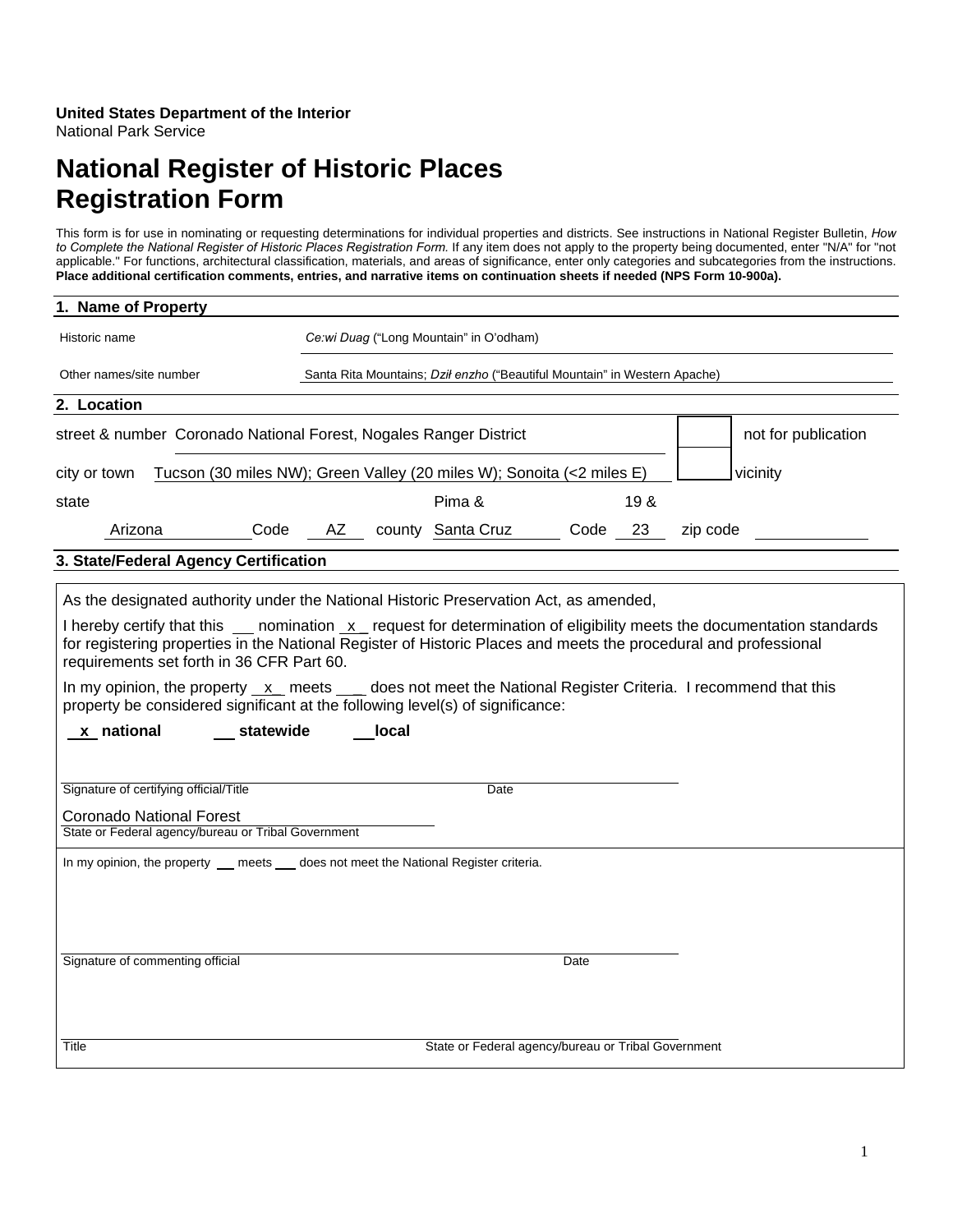### **United States Department of the Interior**  National Park Service

# **National Register of Historic Places Registration Form**

This form is for use in nominating or requesting determinations for individual properties and districts. See instructions in National Register Bulletin, *How to Complete the National Register of Historic Places Registration Form.* If any item does not apply to the property being documented, enter "N/A" for "not applicable." For functions, architectural classification, materials, and areas of significance, enter only categories and subcategories from the instructions. **Place additional certification comments, entries, and narrative items on continuation sheets if needed (NPS Form 10-900a).**

| 1. Name of Property                                                                                                                                                                                      |                                                                                                                                                                                                                                                                                                                                                                                                                                                                                                                                                            |  |  |  |  |
|----------------------------------------------------------------------------------------------------------------------------------------------------------------------------------------------------------|------------------------------------------------------------------------------------------------------------------------------------------------------------------------------------------------------------------------------------------------------------------------------------------------------------------------------------------------------------------------------------------------------------------------------------------------------------------------------------------------------------------------------------------------------------|--|--|--|--|
| Historic name                                                                                                                                                                                            | Ce:wi Duag ("Long Mountain" in O'odham)                                                                                                                                                                                                                                                                                                                                                                                                                                                                                                                    |  |  |  |  |
| Other names/site number                                                                                                                                                                                  | Santa Rita Mountains; Dził enzho ("Beautiful Mountain" in Western Apache)                                                                                                                                                                                                                                                                                                                                                                                                                                                                                  |  |  |  |  |
| 2. Location                                                                                                                                                                                              |                                                                                                                                                                                                                                                                                                                                                                                                                                                                                                                                                            |  |  |  |  |
| street & number Coronado National Forest, Nogales Ranger District                                                                                                                                        | not for publication                                                                                                                                                                                                                                                                                                                                                                                                                                                                                                                                        |  |  |  |  |
| city or town                                                                                                                                                                                             | Tucson (30 miles NW); Green Valley (20 miles W); Sonoita (<2 miles E)<br>vicinity                                                                                                                                                                                                                                                                                                                                                                                                                                                                          |  |  |  |  |
| state                                                                                                                                                                                                    | Pima &<br>19 &                                                                                                                                                                                                                                                                                                                                                                                                                                                                                                                                             |  |  |  |  |
| Arizona<br>Code                                                                                                                                                                                          | county Santa Cruz<br>AZ<br>Code<br>23<br>zip code                                                                                                                                                                                                                                                                                                                                                                                                                                                                                                          |  |  |  |  |
| 3. State/Federal Agency Certification                                                                                                                                                                    |                                                                                                                                                                                                                                                                                                                                                                                                                                                                                                                                                            |  |  |  |  |
| requirements set forth in 36 CFR Part 60.<br>x national<br>statewide<br>Signature of certifying official/Title<br><b>Coronado National Forest</b><br>State or Federal agency/bureau or Tribal Government | As the designated authority under the National Historic Preservation Act, as amended,<br>I hereby certify that this ____ nomination _x__ request for determination of eligibility meets the documentation standards<br>for registering properties in the National Register of Historic Places and meets the procedural and professional<br>In my opinion, the property $x$ meets $y$ does not meet the National Register Criteria. I recommend that this<br>property be considered significant at the following level(s) of significance:<br>local<br>Date |  |  |  |  |
| Signature of commenting official                                                                                                                                                                         | In my opinion, the property _ meets _ does not meet the National Register criteria.<br>Date                                                                                                                                                                                                                                                                                                                                                                                                                                                                |  |  |  |  |
| Title                                                                                                                                                                                                    | State or Federal agency/bureau or Tribal Government                                                                                                                                                                                                                                                                                                                                                                                                                                                                                                        |  |  |  |  |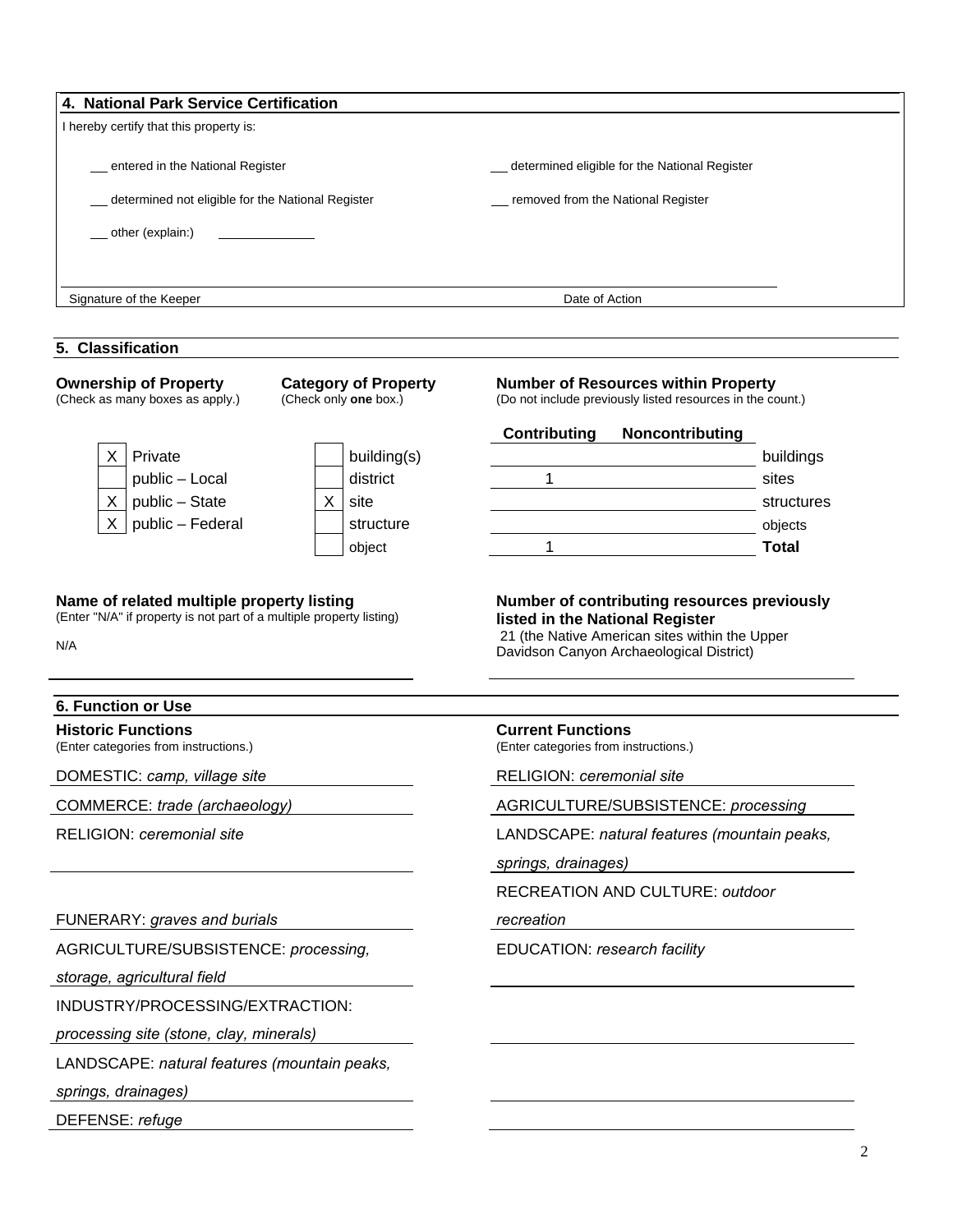| 4. National Park Service Certification                                                                                  |                        |                                                                                                          |                         |  |  |  |
|-------------------------------------------------------------------------------------------------------------------------|------------------------|----------------------------------------------------------------------------------------------------------|-------------------------|--|--|--|
| I hereby certify that this property is:                                                                                 |                        |                                                                                                          |                         |  |  |  |
| entered in the National Register                                                                                        |                        | _determined eligible for the National Register                                                           |                         |  |  |  |
| determined not eligible for the National Register                                                                       |                        | _ removed from the National Register                                                                     |                         |  |  |  |
| other (explain:)                                                                                                        |                        |                                                                                                          |                         |  |  |  |
|                                                                                                                         |                        |                                                                                                          |                         |  |  |  |
| Signature of the Keeper                                                                                                 |                        | Date of Action                                                                                           |                         |  |  |  |
|                                                                                                                         |                        |                                                                                                          |                         |  |  |  |
| 5. Classification                                                                                                       |                        |                                                                                                          |                         |  |  |  |
| <b>Ownership of Property</b><br><b>Category of Property</b><br>(Check as many boxes as apply.)<br>(Check only one box.) |                        | <b>Number of Resources within Property</b><br>(Do not include previously listed resources in the count.) |                         |  |  |  |
|                                                                                                                         |                        | <b>Contributing</b><br>Noncontributing                                                                   |                         |  |  |  |
| Private<br>$\times$ 1                                                                                                   | building(s)            |                                                                                                          | buildings               |  |  |  |
| public - Local                                                                                                          | district               | 1                                                                                                        | sites                   |  |  |  |
| $X \mid$<br>public - State<br>public - Federal<br>X <sub>1</sub>                                                        | X<br>site<br>structure |                                                                                                          | structures              |  |  |  |
|                                                                                                                         | object                 | 1                                                                                                        | objects<br><b>Total</b> |  |  |  |
| N/A                                                                                                                     |                        | 21 (the Native American sites within the Upper<br>Davidson Canyon Archaeological District)               |                         |  |  |  |
| <b>6. Function or Use</b>                                                                                               |                        |                                                                                                          |                         |  |  |  |
| <b>Historic Functions</b><br>(Enter categories from instructions.)                                                      |                        | <b>Current Functions</b><br>(Enter categories from instructions.)                                        |                         |  |  |  |
| DOMESTIC: camp, village site                                                                                            |                        | RELIGION: ceremonial site                                                                                |                         |  |  |  |
| COMMERCE: trade (archaeology)                                                                                           |                        | AGRICULTURE/SUBSISTENCE: processing                                                                      |                         |  |  |  |
| RELIGION: ceremonial site                                                                                               |                        | LANDSCAPE: natural features (mountain peaks,                                                             |                         |  |  |  |
|                                                                                                                         |                        | springs, drainages)                                                                                      |                         |  |  |  |
|                                                                                                                         |                        | RECREATION AND CULTURE: outdoor                                                                          |                         |  |  |  |
| FUNERARY: graves and burials                                                                                            |                        | recreation                                                                                               |                         |  |  |  |
| AGRICULTURE/SUBSISTENCE: processing,                                                                                    |                        | EDUCATION: research facility                                                                             |                         |  |  |  |
| storage, agricultural field                                                                                             |                        |                                                                                                          |                         |  |  |  |
| INDUSTRY/PROCESSING/EXTRACTION:                                                                                         |                        |                                                                                                          |                         |  |  |  |
| processing site (stone, clay, minerals)                                                                                 |                        |                                                                                                          |                         |  |  |  |
| LANDSCAPE: natural features (mountain peaks,                                                                            |                        |                                                                                                          |                         |  |  |  |
| springs, drainages)                                                                                                     |                        |                                                                                                          |                         |  |  |  |
|                                                                                                                         |                        |                                                                                                          |                         |  |  |  |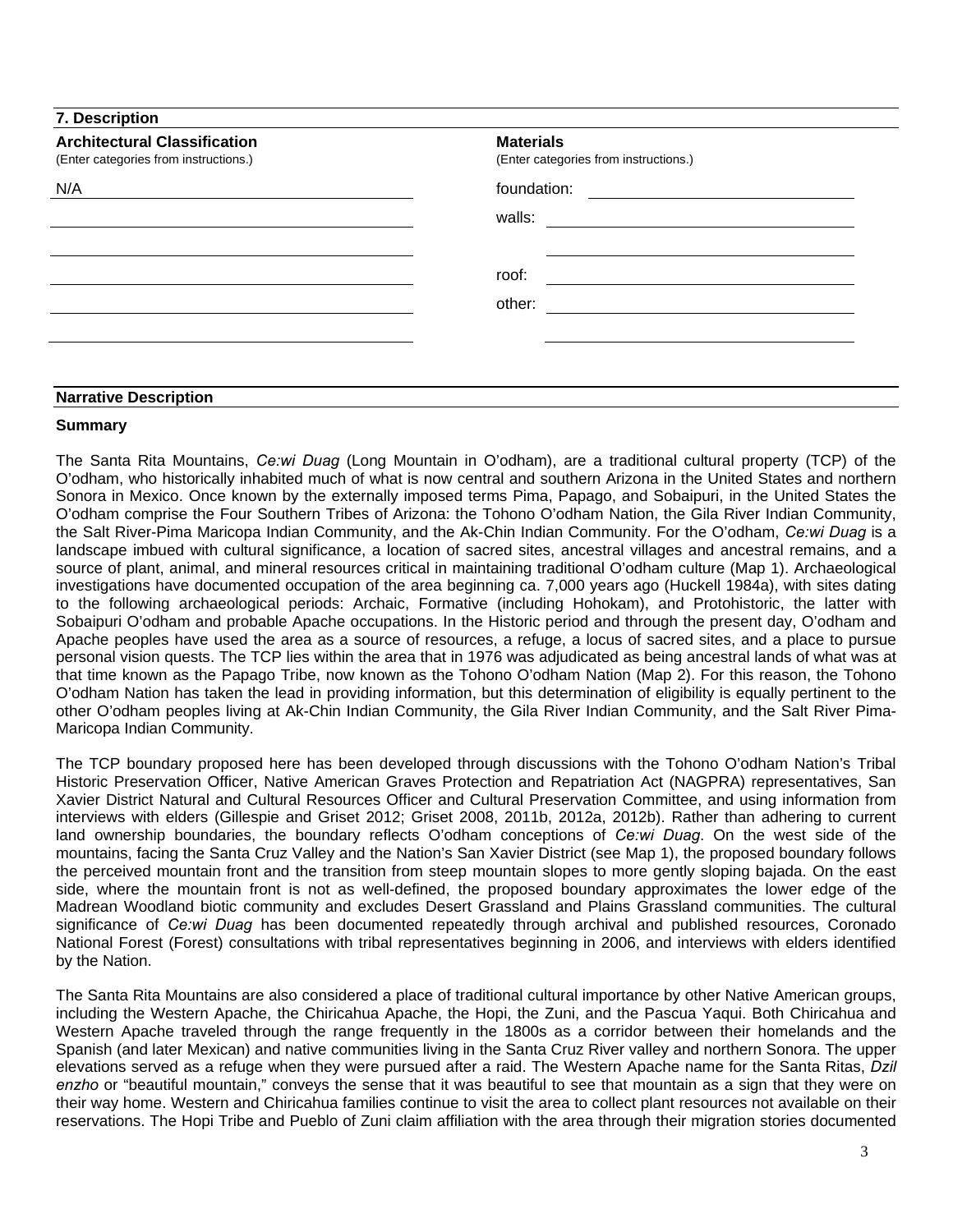| <b>Architectural Classification</b><br>(Enter categories from instructions.) | <b>Materials</b><br>(Enter categories from instructions.)                                                                            |
|------------------------------------------------------------------------------|--------------------------------------------------------------------------------------------------------------------------------------|
| N/A                                                                          | foundation:<br><u> 1989 - Johann Barn, mars ann an t-Amhair an t-Amhair an t-Amhair an t-Amhair an t-Amhair an t-Amhair an t-Amh</u> |
|                                                                              | walls:                                                                                                                               |
|                                                                              | roof:                                                                                                                                |
|                                                                              | other:                                                                                                                               |
|                                                                              |                                                                                                                                      |
| <b>Narrative Description</b>                                                 |                                                                                                                                      |

# **Summary**

The Santa Rita Mountains, *Ce:wi Duag* (Long Mountain in O'odham), are a traditional cultural property (TCP) of the O'odham, who historically inhabited much of what is now central and southern Arizona in the United States and northern Sonora in Mexico. Once known by the externally imposed terms Pima, Papago, and Sobaipuri, in the United States the O'odham comprise the Four Southern Tribes of Arizona: the Tohono O'odham Nation, the Gila River Indian Community, the Salt River-Pima Maricopa Indian Community, and the Ak-Chin Indian Community. For the O'odham, *Ce:wi Duag* is a landscape imbued with cultural significance, a location of sacred sites, ancestral villages and ancestral remains, and a source of plant, animal, and mineral resources critical in maintaining traditional O'odham culture (Map 1). Archaeological investigations have documented occupation of the area beginning ca. 7,000 years ago (Huckell 1984a), with sites dating to the following archaeological periods: Archaic, Formative (including Hohokam), and Protohistoric, the latter with Sobaipuri O'odham and probable Apache occupations. In the Historic period and through the present day, O'odham and Apache peoples have used the area as a source of resources, a refuge, a locus of sacred sites, and a place to pursue personal vision quests. The TCP lies within the area that in 1976 was adjudicated as being ancestral lands of what was at that time known as the Papago Tribe, now known as the Tohono O'odham Nation (Map 2). For this reason, the Tohono O'odham Nation has taken the lead in providing information, but this determination of eligibility is equally pertinent to the other O'odham peoples living at Ak-Chin Indian Community, the Gila River Indian Community, and the Salt River Pima-Maricopa Indian Community.

The TCP boundary proposed here has been developed through discussions with the Tohono O'odham Nation's Tribal Historic Preservation Officer, Native American Graves Protection and Repatriation Act (NAGPRA) representatives, San Xavier District Natural and Cultural Resources Officer and Cultural Preservation Committee, and using information from interviews with elders (Gillespie and Griset 2012; Griset 2008, 2011b, 2012a, 2012b). Rather than adhering to current land ownership boundaries, the boundary reflects O'odham conceptions of *Ce:wi Duag*. On the west side of the mountains, facing the Santa Cruz Valley and the Nation's San Xavier District (see Map 1), the proposed boundary follows the perceived mountain front and the transition from steep mountain slopes to more gently sloping bajada. On the east side, where the mountain front is not as well-defined, the proposed boundary approximates the lower edge of the Madrean Woodland biotic community and excludes Desert Grassland and Plains Grassland communities. The cultural significance of *Ce:wi Duag* has been documented repeatedly through archival and published resources, Coronado National Forest (Forest) consultations with tribal representatives beginning in 2006, and interviews with elders identified by the Nation.

The Santa Rita Mountains are also considered a place of traditional cultural importance by other Native American groups, including the Western Apache, the Chiricahua Apache, the Hopi, the Zuni, and the Pascua Yaqui. Both Chiricahua and Western Apache traveled through the range frequently in the 1800s as a corridor between their homelands and the Spanish (and later Mexican) and native communities living in the Santa Cruz River valley and northern Sonora. The upper elevations served as a refuge when they were pursued after a raid. The Western Apache name for the Santa Ritas, *Dzil enzho* or "beautiful mountain," conveys the sense that it was beautiful to see that mountain as a sign that they were on their way home. Western and Chiricahua families continue to visit the area to collect plant resources not available on their reservations. The Hopi Tribe and Pueblo of Zuni claim affiliation with the area through their migration stories documented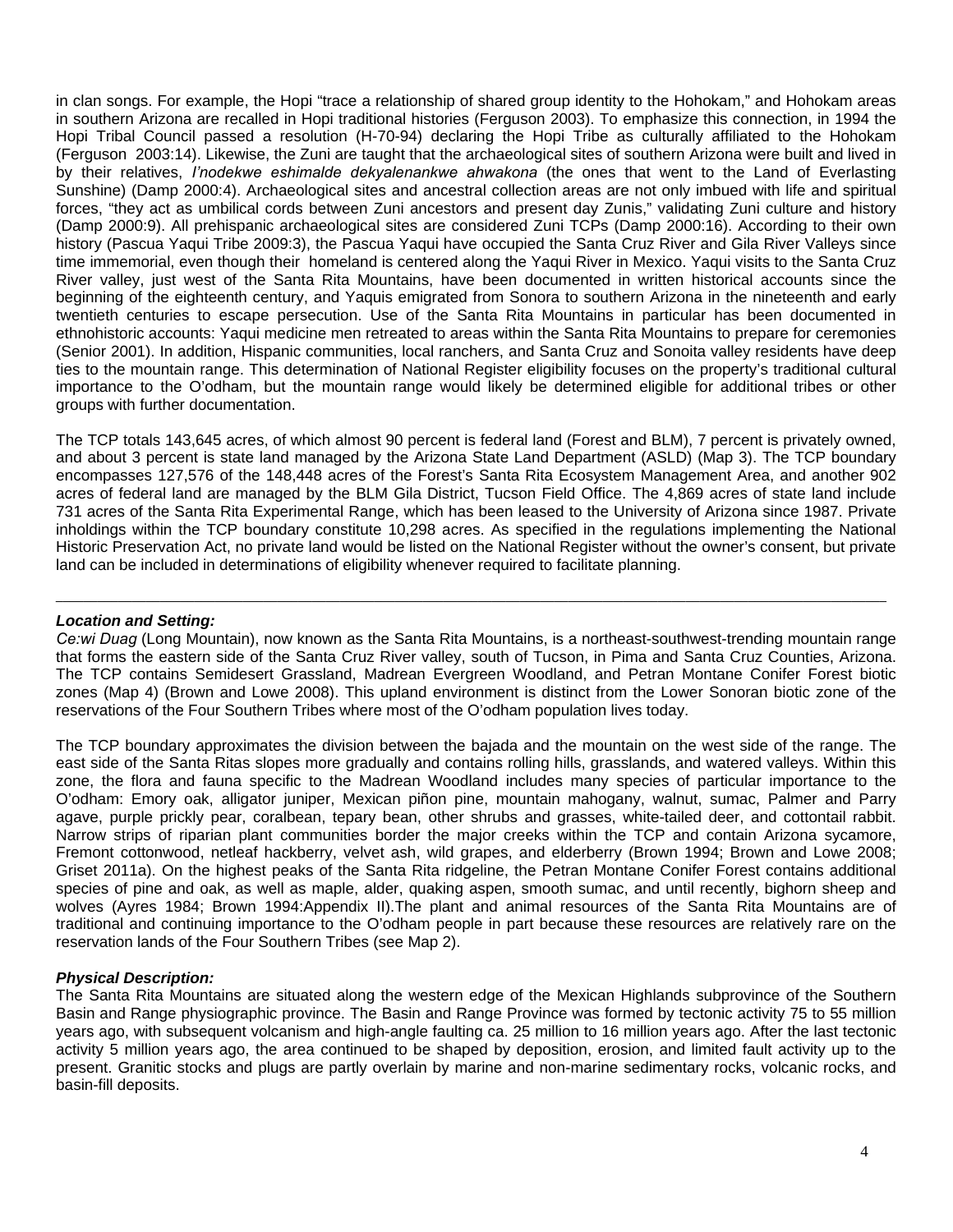in clan songs. For example, the Hopi "trace a relationship of shared group identity to the Hohokam," and Hohokam areas in southern Arizona are recalled in Hopi traditional histories (Ferguson 2003). To emphasize this connection, in 1994 the Hopi Tribal Council passed a resolution (H-70-94) declaring the Hopi Tribe as culturally affiliated to the Hohokam (Ferguson 2003:14). Likewise, the Zuni are taught that the archaeological sites of southern Arizona were built and lived in by their relatives, *I'nodekwe eshimalde dekyalenankwe ahwakona* (the ones that went to the Land of Everlasting Sunshine) (Damp 2000:4). Archaeological sites and ancestral collection areas are not only imbued with life and spiritual forces, "they act as umbilical cords between Zuni ancestors and present day Zunis," validating Zuni culture and history (Damp 2000:9). All prehispanic archaeological sites are considered Zuni TCPs (Damp 2000:16). According to their own history (Pascua Yaqui Tribe 2009:3), the Pascua Yaqui have occupied the Santa Cruz River and Gila River Valleys since time immemorial, even though their homeland is centered along the Yaqui River in Mexico. Yaqui visits to the Santa Cruz River valley, just west of the Santa Rita Mountains, have been documented in written historical accounts since the beginning of the eighteenth century, and Yaquis emigrated from Sonora to southern Arizona in the nineteenth and early twentieth centuries to escape persecution. Use of the Santa Rita Mountains in particular has been documented in ethnohistoric accounts: Yaqui medicine men retreated to areas within the Santa Rita Mountains to prepare for ceremonies (Senior 2001). In addition, Hispanic communities, local ranchers, and Santa Cruz and Sonoita valley residents have deep ties to the mountain range. This determination of National Register eligibility focuses on the property's traditional cultural importance to the O'odham, but the mountain range would likely be determined eligible for additional tribes or other groups with further documentation.

The TCP totals 143,645 acres, of which almost 90 percent is federal land (Forest and BLM), 7 percent is privately owned, and about 3 percent is state land managed by the Arizona State Land Department (ASLD) (Map 3). The TCP boundary encompasses 127,576 of the 148,448 acres of the Forest's Santa Rita Ecosystem Management Area, and another 902 acres of federal land are managed by the BLM Gila District, Tucson Field Office. The 4,869 acres of state land include 731 acres of the Santa Rita Experimental Range, which has been leased to the University of Arizona since 1987. Private inholdings within the TCP boundary constitute 10,298 acres. As specified in the regulations implementing the National Historic Preservation Act, no private land would be listed on the National Register without the owner's consent, but private land can be included in determinations of eligibility whenever required to facilitate planning.

# *Location and Setting:*

*Ce:wi Duag* (Long Mountain), now known as the Santa Rita Mountains, is a northeast-southwest-trending mountain range that forms the eastern side of the Santa Cruz River valley, south of Tucson, in Pima and Santa Cruz Counties, Arizona. The TCP contains Semidesert Grassland, Madrean Evergreen Woodland, and Petran Montane Conifer Forest biotic zones (Map 4) (Brown and Lowe 2008). This upland environment is distinct from the Lower Sonoran biotic zone of the reservations of the Four Southern Tribes where most of the O'odham population lives today.

\_\_\_\_\_\_\_\_\_\_\_\_\_\_\_\_\_\_\_\_\_\_\_\_\_\_\_\_\_\_\_\_\_\_\_\_\_\_\_\_\_\_\_\_\_\_\_\_\_\_\_\_\_\_\_\_\_\_\_\_\_\_\_\_\_\_\_\_\_\_\_\_\_\_\_\_\_\_\_\_\_\_\_\_\_\_\_\_\_\_\_\_\_\_\_\_\_\_\_\_\_\_\_\_\_\_\_\_\_\_\_\_\_\_\_\_\_\_\_\_

The TCP boundary approximates the division between the bajada and the mountain on the west side of the range. The east side of the Santa Ritas slopes more gradually and contains rolling hills, grasslands, and watered valleys. Within this zone, the flora and fauna specific to the Madrean Woodland includes many species of particular importance to the O'odham: Emory oak, alligator juniper, Mexican piñon pine, mountain mahogany, walnut, sumac, Palmer and Parry agave, purple prickly pear, coralbean, tepary bean, other shrubs and grasses, white-tailed deer, and cottontail rabbit. Narrow strips of riparian plant communities border the major creeks within the TCP and contain Arizona sycamore, Fremont cottonwood, netleaf hackberry, velvet ash, wild grapes, and elderberry (Brown 1994; Brown and Lowe 2008; Griset 2011a). On the highest peaks of the Santa Rita ridgeline, the Petran Montane Conifer Forest contains additional species of pine and oak, as well as maple, alder, quaking aspen, smooth sumac, and until recently, bighorn sheep and wolves (Ayres 1984; Brown 1994:Appendix II).The plant and animal resources of the Santa Rita Mountains are of traditional and continuing importance to the O'odham people in part because these resources are relatively rare on the reservation lands of the Four Southern Tribes (see Map 2).

# *Physical Description:*

The Santa Rita Mountains are situated along the western edge of the Mexican Highlands subprovince of the Southern Basin and Range physiographic province. The Basin and Range Province was formed by tectonic activity 75 to 55 million years ago, with subsequent volcanism and high-angle faulting ca. 25 million to 16 million years ago. After the last tectonic activity 5 million years ago, the area continued to be shaped by deposition, erosion, and limited fault activity up to the present. Granitic stocks and plugs are partly overlain by marine and non-marine sedimentary rocks, volcanic rocks, and basin-fill deposits.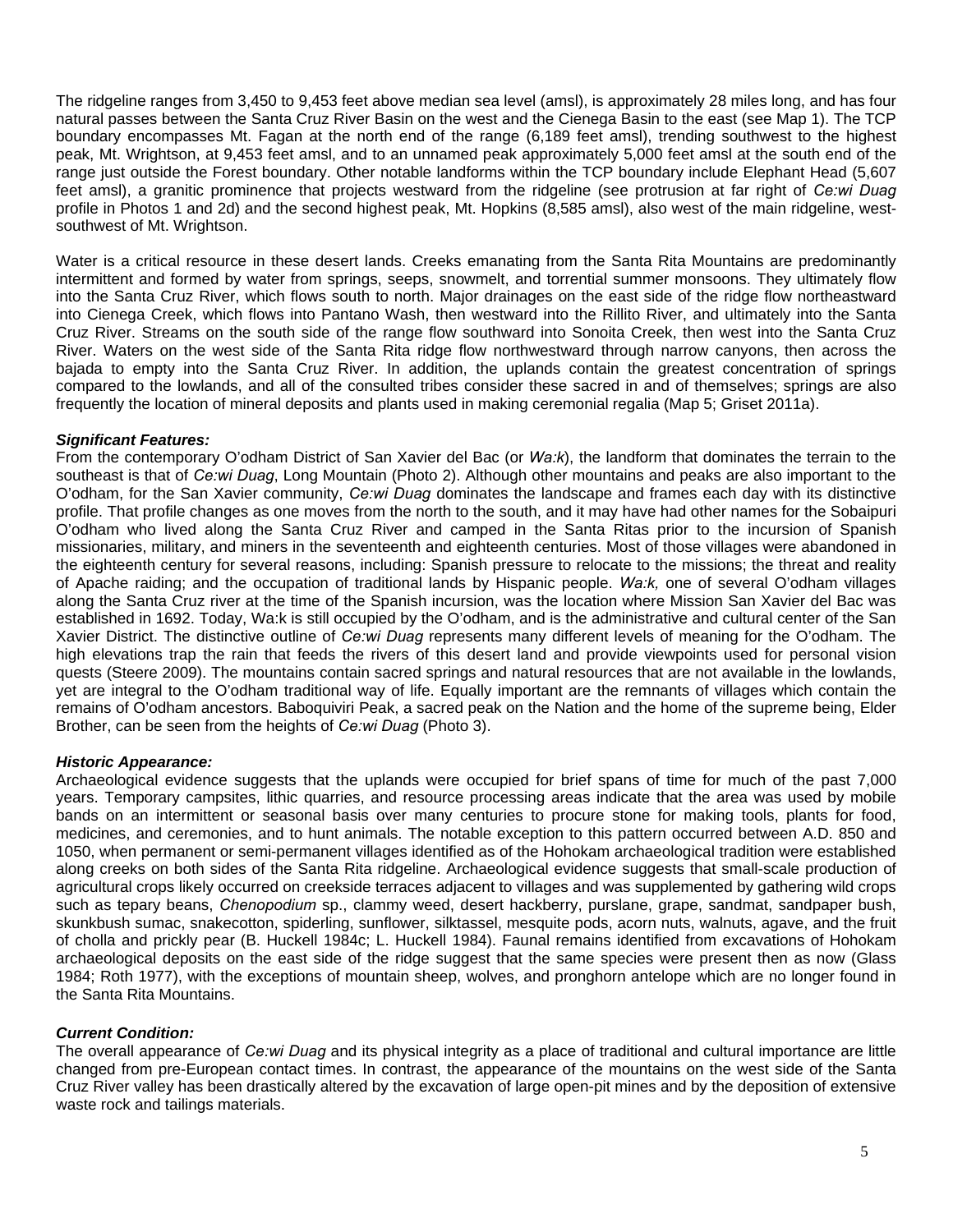The ridgeline ranges from 3,450 to 9,453 feet above median sea level (amsl), is approximately 28 miles long, and has four natural passes between the Santa Cruz River Basin on the west and the Cienega Basin to the east (see Map 1). The TCP boundary encompasses Mt. Fagan at the north end of the range (6,189 feet amsl), trending southwest to the highest peak, Mt. Wrightson, at 9,453 feet amsl, and to an unnamed peak approximately 5,000 feet amsl at the south end of the range just outside the Forest boundary. Other notable landforms within the TCP boundary include Elephant Head (5,607 feet amsl), a granitic prominence that projects westward from the ridgeline (see protrusion at far right of *Ce:wi Duag* profile in Photos 1 and 2d) and the second highest peak, Mt. Hopkins (8,585 amsl), also west of the main ridgeline, westsouthwest of Mt. Wrightson.

Water is a critical resource in these desert lands. Creeks emanating from the Santa Rita Mountains are predominantly intermittent and formed by water from springs, seeps, snowmelt, and torrential summer monsoons. They ultimately flow into the Santa Cruz River, which flows south to north. Major drainages on the east side of the ridge flow northeastward into Cienega Creek, which flows into Pantano Wash, then westward into the Rillito River, and ultimately into the Santa Cruz River. Streams on the south side of the range flow southward into Sonoita Creek, then west into the Santa Cruz River. Waters on the west side of the Santa Rita ridge flow northwestward through narrow canyons, then across the bajada to empty into the Santa Cruz River. In addition, the uplands contain the greatest concentration of springs compared to the lowlands, and all of the consulted tribes consider these sacred in and of themselves; springs are also frequently the location of mineral deposits and plants used in making ceremonial regalia (Map 5; Griset 2011a).

# *Significant Features:*

From the contemporary O'odham District of San Xavier del Bac (or *Wa:k*), the landform that dominates the terrain to the southeast is that of *Ce:wi Duag*, Long Mountain (Photo 2). Although other mountains and peaks are also important to the O'odham, for the San Xavier community, *Ce:wi Duag* dominates the landscape and frames each day with its distinctive profile. That profile changes as one moves from the north to the south, and it may have had other names for the Sobaipuri O'odham who lived along the Santa Cruz River and camped in the Santa Ritas prior to the incursion of Spanish missionaries, military, and miners in the seventeenth and eighteenth centuries. Most of those villages were abandoned in the eighteenth century for several reasons, including: Spanish pressure to relocate to the missions; the threat and reality of Apache raiding; and the occupation of traditional lands by Hispanic people. *Wa:k,* one of several O'odham villages along the Santa Cruz river at the time of the Spanish incursion, was the location where Mission San Xavier del Bac was established in 1692. Today, Wa:k is still occupied by the O'odham, and is the administrative and cultural center of the San Xavier District. The distinctive outline of *Ce:wi Duag* represents many different levels of meaning for the O'odham. The high elevations trap the rain that feeds the rivers of this desert land and provide viewpoints used for personal vision quests (Steere 2009). The mountains contain sacred springs and natural resources that are not available in the lowlands, yet are integral to the O'odham traditional way of life. Equally important are the remnants of villages which contain the remains of O'odham ancestors. Baboquiviri Peak, a sacred peak on the Nation and the home of the supreme being, Elder Brother, can be seen from the heights of *Ce:wi Duag* (Photo 3).

# *Historic Appearance:*

Archaeological evidence suggests that the uplands were occupied for brief spans of time for much of the past 7,000 years. Temporary campsites, lithic quarries, and resource processing areas indicate that the area was used by mobile bands on an intermittent or seasonal basis over many centuries to procure stone for making tools, plants for food, medicines, and ceremonies, and to hunt animals. The notable exception to this pattern occurred between A.D. 850 and 1050, when permanent or semi-permanent villages identified as of the Hohokam archaeological tradition were established along creeks on both sides of the Santa Rita ridgeline. Archaeological evidence suggests that small-scale production of agricultural crops likely occurred on creekside terraces adjacent to villages and was supplemented by gathering wild crops such as tepary beans, *Chenopodium* sp., clammy weed, desert hackberry, purslane, grape, sandmat, sandpaper bush, skunkbush sumac, snakecotton, spiderling, sunflower, silktassel, mesquite pods, acorn nuts, walnuts, agave, and the fruit of cholla and prickly pear (B. Huckell 1984c; L. Huckell 1984). Faunal remains identified from excavations of Hohokam archaeological deposits on the east side of the ridge suggest that the same species were present then as now (Glass 1984; Roth 1977), with the exceptions of mountain sheep, wolves, and pronghorn antelope which are no longer found in the Santa Rita Mountains.

# *Current Condition:*

The overall appearance of *Ce:wi Duag* and its physical integrity as a place of traditional and cultural importance are little changed from pre-European contact times. In contrast, the appearance of the mountains on the west side of the Santa Cruz River valley has been drastically altered by the excavation of large open-pit mines and by the deposition of extensive waste rock and tailings materials.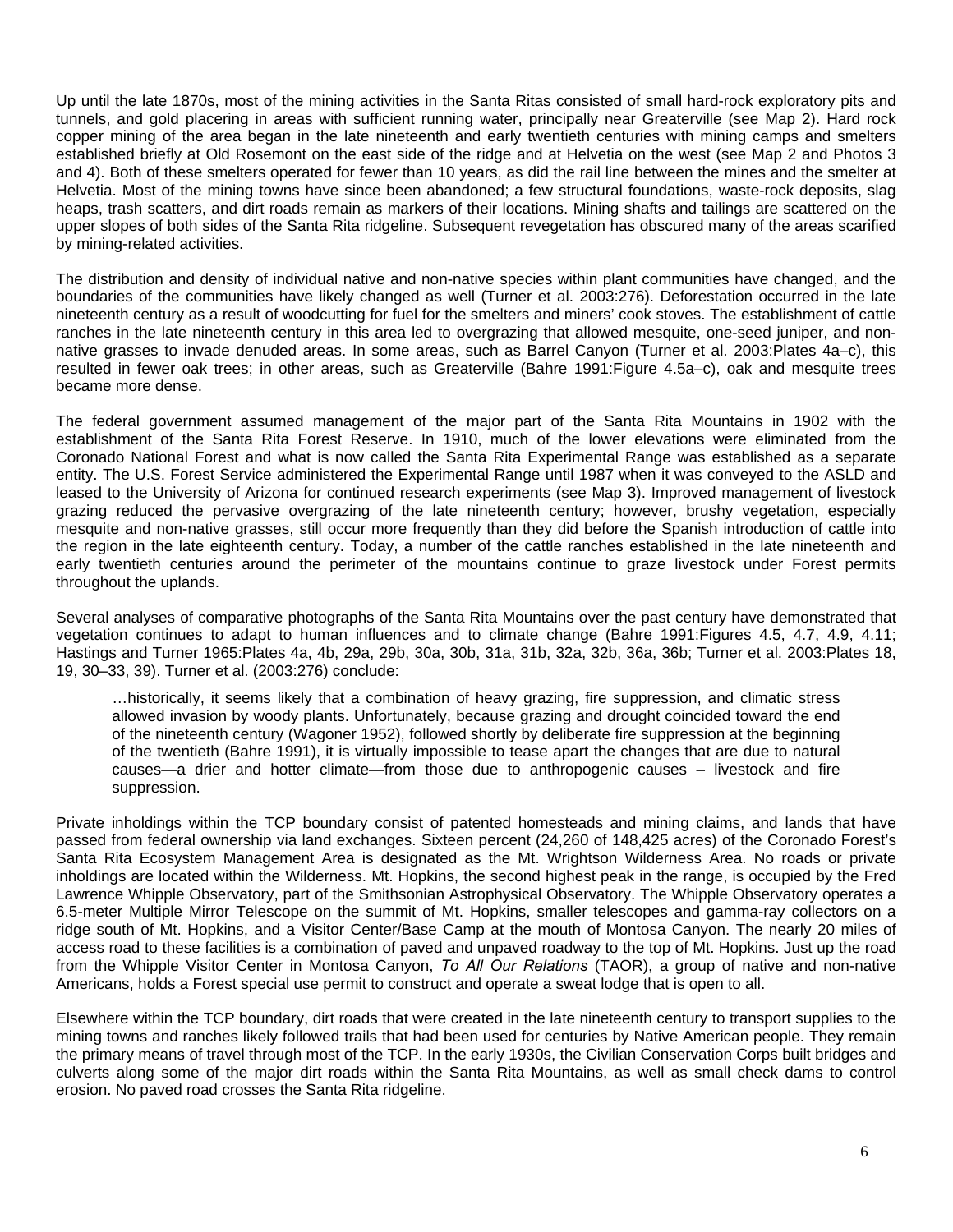Up until the late 1870s, most of the mining activities in the Santa Ritas consisted of small hard-rock exploratory pits and tunnels, and gold placering in areas with sufficient running water, principally near Greaterville (see Map 2). Hard rock copper mining of the area began in the late nineteenth and early twentieth centuries with mining camps and smelters established briefly at Old Rosemont on the east side of the ridge and at Helvetia on the west (see Map 2 and Photos 3 and 4). Both of these smelters operated for fewer than 10 years, as did the rail line between the mines and the smelter at Helvetia. Most of the mining towns have since been abandoned; a few structural foundations, waste-rock deposits, slag heaps, trash scatters, and dirt roads remain as markers of their locations. Mining shafts and tailings are scattered on the upper slopes of both sides of the Santa Rita ridgeline. Subsequent revegetation has obscured many of the areas scarified by mining-related activities.

The distribution and density of individual native and non-native species within plant communities have changed, and the boundaries of the communities have likely changed as well (Turner et al. 2003:276). Deforestation occurred in the late nineteenth century as a result of woodcutting for fuel for the smelters and miners' cook stoves. The establishment of cattle ranches in the late nineteenth century in this area led to overgrazing that allowed mesquite, one-seed juniper, and nonnative grasses to invade denuded areas. In some areas, such as Barrel Canyon (Turner et al. 2003:Plates 4a–c), this resulted in fewer oak trees; in other areas, such as Greaterville (Bahre 1991:Figure 4.5a–c), oak and mesquite trees became more dense.

The federal government assumed management of the major part of the Santa Rita Mountains in 1902 with the establishment of the Santa Rita Forest Reserve. In 1910, much of the lower elevations were eliminated from the Coronado National Forest and what is now called the Santa Rita Experimental Range was established as a separate entity. The U.S. Forest Service administered the Experimental Range until 1987 when it was conveyed to the ASLD and leased to the University of Arizona for continued research experiments (see Map 3). Improved management of livestock grazing reduced the pervasive overgrazing of the late nineteenth century; however, brushy vegetation, especially mesquite and non-native grasses, still occur more frequently than they did before the Spanish introduction of cattle into the region in the late eighteenth century. Today, a number of the cattle ranches established in the late nineteenth and early twentieth centuries around the perimeter of the mountains continue to graze livestock under Forest permits throughout the uplands.

Several analyses of comparative photographs of the Santa Rita Mountains over the past century have demonstrated that vegetation continues to adapt to human influences and to climate change (Bahre 1991:Figures 4.5, 4.7, 4.9, 4.11; Hastings and Turner 1965:Plates 4a, 4b, 29a, 29b, 30a, 30b, 31a, 31b, 32a, 32b, 36a, 36b; Turner et al. 2003:Plates 18, 19, 30–33, 39). Turner et al. (2003:276) conclude:

…historically, it seems likely that a combination of heavy grazing, fire suppression, and climatic stress allowed invasion by woody plants. Unfortunately, because grazing and drought coincided toward the end of the nineteenth century (Wagoner 1952), followed shortly by deliberate fire suppression at the beginning of the twentieth (Bahre 1991), it is virtually impossible to tease apart the changes that are due to natural causes—a drier and hotter climate—from those due to anthropogenic causes – livestock and fire suppression.

Private inholdings within the TCP boundary consist of patented homesteads and mining claims, and lands that have passed from federal ownership via land exchanges. Sixteen percent (24,260 of 148,425 acres) of the Coronado Forest's Santa Rita Ecosystem Management Area is designated as the Mt. Wrightson Wilderness Area. No roads or private inholdings are located within the Wilderness. Mt. Hopkins, the second highest peak in the range, is occupied by the Fred Lawrence Whipple Observatory, part of the Smithsonian Astrophysical Observatory. The Whipple Observatory operates a 6.5-meter Multiple Mirror Telescope on the summit of Mt. Hopkins, smaller telescopes and gamma-ray collectors on a ridge south of Mt. Hopkins, and a Visitor Center/Base Camp at the mouth of Montosa Canyon. The nearly 20 miles of access road to these facilities is a combination of paved and unpaved roadway to the top of Mt. Hopkins. Just up the road from the Whipple Visitor Center in Montosa Canyon, *To All Our Relations* (TAOR), a group of native and non-native Americans, holds a Forest special use permit to construct and operate a sweat lodge that is open to all.

Elsewhere within the TCP boundary, dirt roads that were created in the late nineteenth century to transport supplies to the mining towns and ranches likely followed trails that had been used for centuries by Native American people. They remain the primary means of travel through most of the TCP. In the early 1930s, the Civilian Conservation Corps built bridges and culverts along some of the major dirt roads within the Santa Rita Mountains, as well as small check dams to control erosion. No paved road crosses the Santa Rita ridgeline.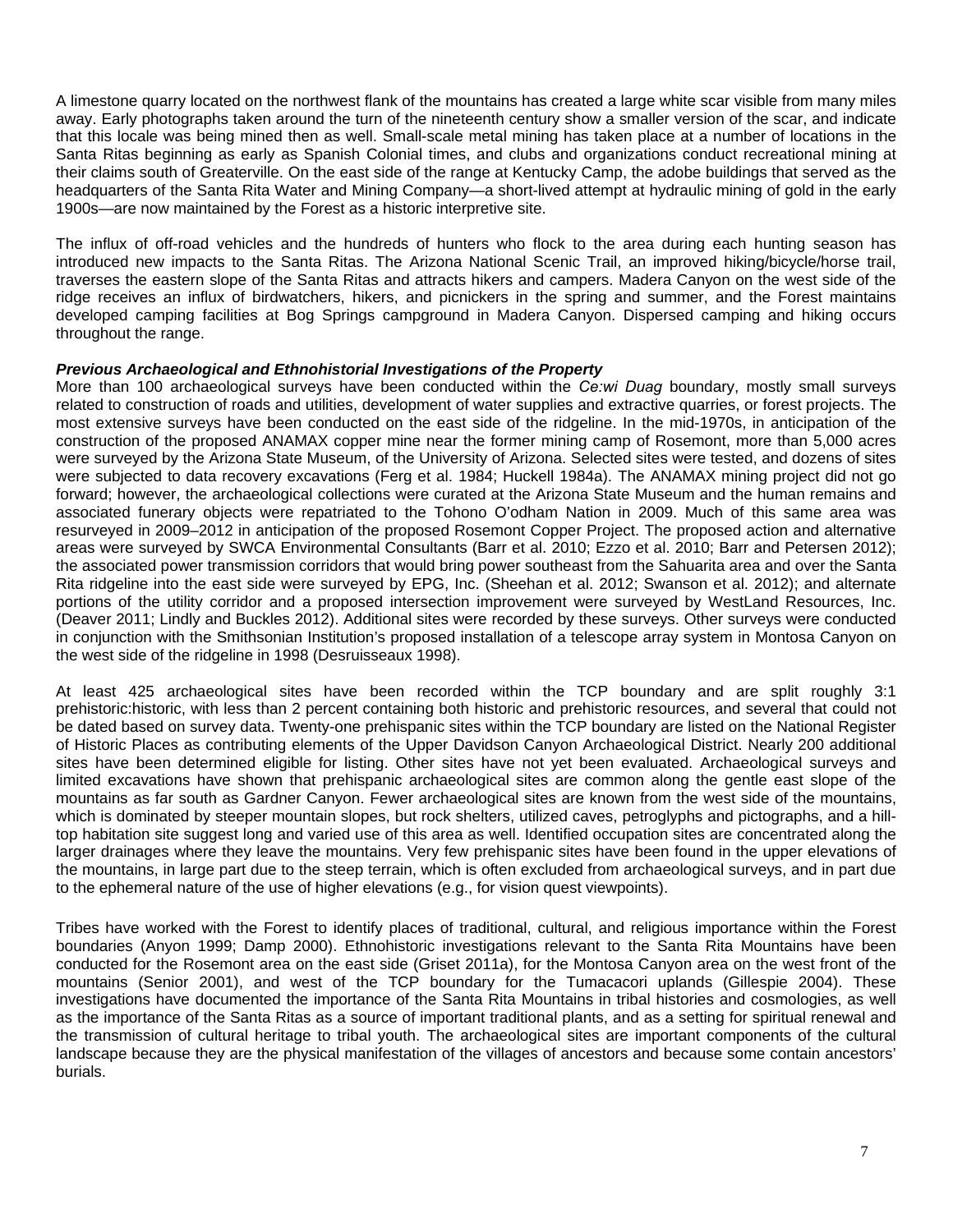A limestone quarry located on the northwest flank of the mountains has created a large white scar visible from many miles away. Early photographs taken around the turn of the nineteenth century show a smaller version of the scar, and indicate that this locale was being mined then as well. Small-scale metal mining has taken place at a number of locations in the Santa Ritas beginning as early as Spanish Colonial times, and clubs and organizations conduct recreational mining at their claims south of Greaterville. On the east side of the range at Kentucky Camp, the adobe buildings that served as the headquarters of the Santa Rita Water and Mining Company—a short-lived attempt at hydraulic mining of gold in the early 1900s—are now maintained by the Forest as a historic interpretive site.

The influx of off-road vehicles and the hundreds of hunters who flock to the area during each hunting season has introduced new impacts to the Santa Ritas. The Arizona National Scenic Trail, an improved hiking/bicycle/horse trail, traverses the eastern slope of the Santa Ritas and attracts hikers and campers. Madera Canyon on the west side of the ridge receives an influx of birdwatchers, hikers, and picnickers in the spring and summer, and the Forest maintains developed camping facilities at Bog Springs campground in Madera Canyon. Dispersed camping and hiking occurs throughout the range.

# *Previous Archaeological and Ethnohistorial Investigations of the Property*

More than 100 archaeological surveys have been conducted within the *Ce:wi Duag* boundary, mostly small surveys related to construction of roads and utilities, development of water supplies and extractive quarries, or forest projects. The most extensive surveys have been conducted on the east side of the ridgeline. In the mid-1970s, in anticipation of the construction of the proposed ANAMAX copper mine near the former mining camp of Rosemont, more than 5,000 acres were surveyed by the Arizona State Museum, of the University of Arizona. Selected sites were tested, and dozens of sites were subjected to data recovery excavations (Ferg et al. 1984; Huckell 1984a). The ANAMAX mining project did not go forward; however, the archaeological collections were curated at the Arizona State Museum and the human remains and associated funerary objects were repatriated to the Tohono O'odham Nation in 2009. Much of this same area was resurveyed in 2009–2012 in anticipation of the proposed Rosemont Copper Project. The proposed action and alternative areas were surveyed by SWCA Environmental Consultants (Barr et al. 2010; Ezzo et al. 2010; Barr and Petersen 2012); the associated power transmission corridors that would bring power southeast from the Sahuarita area and over the Santa Rita ridgeline into the east side were surveyed by EPG, Inc. (Sheehan et al. 2012; Swanson et al. 2012); and alternate portions of the utility corridor and a proposed intersection improvement were surveyed by WestLand Resources, Inc. (Deaver 2011; Lindly and Buckles 2012). Additional sites were recorded by these surveys. Other surveys were conducted in conjunction with the Smithsonian Institution's proposed installation of a telescope array system in Montosa Canyon on the west side of the ridgeline in 1998 (Desruisseaux 1998).

At least 425 archaeological sites have been recorded within the TCP boundary and are split roughly 3:1 prehistoric:historic, with less than 2 percent containing both historic and prehistoric resources, and several that could not be dated based on survey data. Twenty-one prehispanic sites within the TCP boundary are listed on the National Register of Historic Places as contributing elements of the Upper Davidson Canyon Archaeological District. Nearly 200 additional sites have been determined eligible for listing. Other sites have not yet been evaluated. Archaeological surveys and limited excavations have shown that prehispanic archaeological sites are common along the gentle east slope of the mountains as far south as Gardner Canyon. Fewer archaeological sites are known from the west side of the mountains, which is dominated by steeper mountain slopes, but rock shelters, utilized caves, petroglyphs and pictographs, and a hilltop habitation site suggest long and varied use of this area as well. Identified occupation sites are concentrated along the larger drainages where they leave the mountains. Very few prehispanic sites have been found in the upper elevations of the mountains, in large part due to the steep terrain, which is often excluded from archaeological surveys, and in part due to the ephemeral nature of the use of higher elevations (e.g., for vision quest viewpoints).

Tribes have worked with the Forest to identify places of traditional, cultural, and religious importance within the Forest boundaries (Anyon 1999; Damp 2000). Ethnohistoric investigations relevant to the Santa Rita Mountains have been conducted for the Rosemont area on the east side (Griset 2011a), for the Montosa Canyon area on the west front of the mountains (Senior 2001), and west of the TCP boundary for the Tumacacori uplands (Gillespie 2004). These investigations have documented the importance of the Santa Rita Mountains in tribal histories and cosmologies, as well as the importance of the Santa Ritas as a source of important traditional plants, and as a setting for spiritual renewal and the transmission of cultural heritage to tribal youth. The archaeological sites are important components of the cultural landscape because they are the physical manifestation of the villages of ancestors and because some contain ancestors' burials.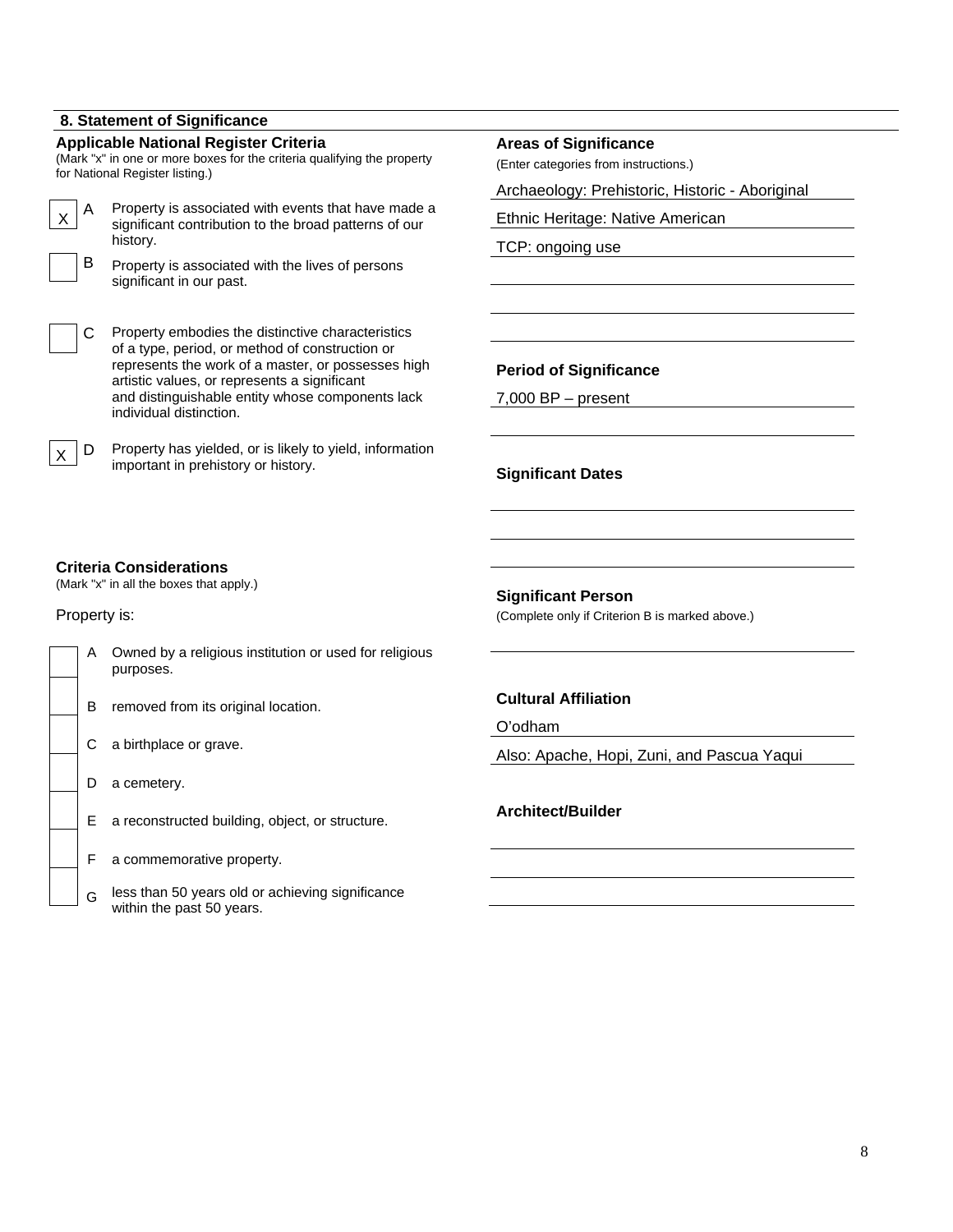# **8. Statement of Significance**

# **Applicable National Register Criteria**  (Mark "x" in one or more boxes for the criteria qualifying the property for National Register listing.)  $\times$  A Property is associated with events that have made a<br> $\times$  A continuant contribution to the broad patterns of our significant contribution to the broad patterns of our history. B Property is associated with the lives of persons significant in our past. C Property embodies the distinctive characteristics of a type, period, or method of construction or represents the work of a master, or possesses high artistic values, or represents a significant and distinguishable entity whose components lack individual distinction.  $\times$  D Property has yielded, or is likely to yield, information important in prehistory or history.

### **Areas of Significance**

(Enter categories from instructions.)

Archaeology: Prehistoric, Historic - Aboriginal

Ethnic Heritage: Native American

TCP: ongoing use

### **Period of Significance**

7,000 BP – present

**Significant Dates** 

# **Criteria Considerations**

(Mark "x" in all the boxes that apply.)

Property is:

| A | Owned by a religious institution or used for religious<br>purposes. |
|---|---------------------------------------------------------------------|
| в | removed from its original location.                                 |
| С | a birthplace or grave.                                              |
|   | a cemetery.                                                         |
| Е | a reconstructed building, object, or structure.                     |
| F | a commemorative property.                                           |
|   | less than 50 voors ald er sabieving eignifisense                    |

 $\mathcal{G}$  less than 50 years old or achieving significance within the past 50 years.

**Significant Person** 

(Complete only if Criterion B is marked above.)

# **Cultural Affiliation**

O'odham

Also: Apache, Hopi, Zuni, and Pascua Yaqui

# **Architect/Builder**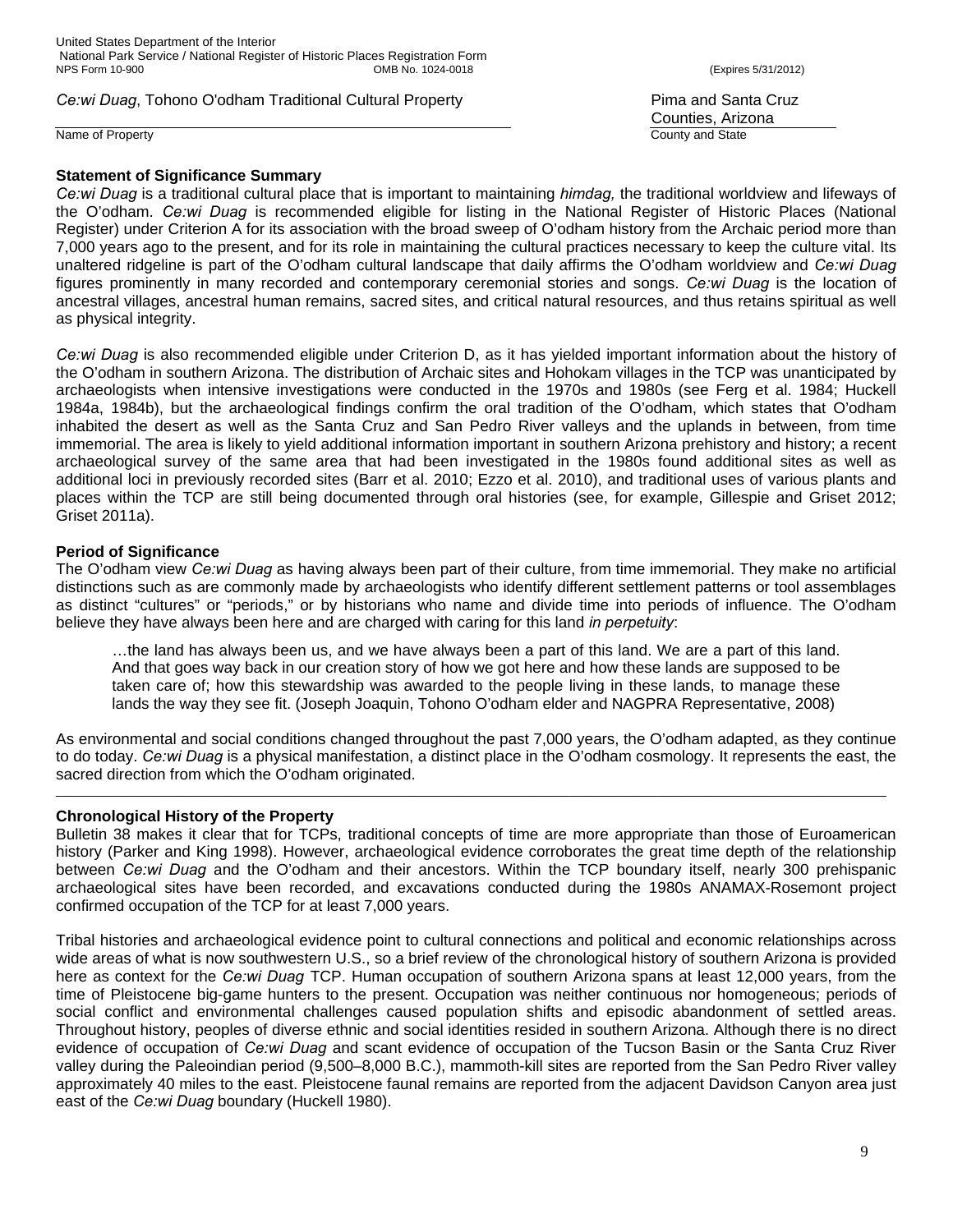United States Department of the Interior National Park Service / National Register of Historic Places Registration Form NPS Form 10-900 OMB No. 1024-0018 (Expires 5/31/2012)

**Ce:wi Duag, Tohono O'odham Traditional Cultural Property Central Accord Property Pima and Santa Cruz** 

Name of Property **County and State** 

# **Statement of Significance Summary**

Counties, Arizona

*Ce:wi Duag* is a traditional cultural place that is important to maintaining *himdag,* the traditional worldview and lifeways of the O'odham. *Ce:wi Duag* is recommended eligible for listing in the National Register of Historic Places (National Register) under Criterion A for its association with the broad sweep of O'odham history from the Archaic period more than 7,000 years ago to the present, and for its role in maintaining the cultural practices necessary to keep the culture vital. Its unaltered ridgeline is part of the O'odham cultural landscape that daily affirms the O'odham worldview and *Ce:wi Duag* figures prominently in many recorded and contemporary ceremonial stories and songs. *Ce:wi Duag* is the location of ancestral villages, ancestral human remains, sacred sites, and critical natural resources, and thus retains spiritual as well as physical integrity.

*Ce:wi Duag* is also recommended eligible under Criterion D, as it has yielded important information about the history of the O'odham in southern Arizona. The distribution of Archaic sites and Hohokam villages in the TCP was unanticipated by archaeologists when intensive investigations were conducted in the 1970s and 1980s (see Ferg et al. 1984; Huckell 1984a, 1984b), but the archaeological findings confirm the oral tradition of the O'odham, which states that O'odham inhabited the desert as well as the Santa Cruz and San Pedro River valleys and the uplands in between, from time immemorial. The area is likely to yield additional information important in southern Arizona prehistory and history; a recent archaeological survey of the same area that had been investigated in the 1980s found additional sites as well as additional loci in previously recorded sites (Barr et al. 2010; Ezzo et al. 2010), and traditional uses of various plants and places within the TCP are still being documented through oral histories (see, for example, Gillespie and Griset 2012; Griset 2011a).

# **Period of Significance**

The O'odham view *Ce:wi Duag* as having always been part of their culture, from time immemorial. They make no artificial distinctions such as are commonly made by archaeologists who identify different settlement patterns or tool assemblages as distinct "cultures" or "periods," or by historians who name and divide time into periods of influence. The O'odham believe they have always been here and are charged with caring for this land *in perpetuity*:

…the land has always been us, and we have always been a part of this land. We are a part of this land. And that goes way back in our creation story of how we got here and how these lands are supposed to be taken care of; how this stewardship was awarded to the people living in these lands, to manage these lands the way they see fit. (Joseph Joaquin, Tohono O'odham elder and NAGPRA Representative, 2008)

As environmental and social conditions changed throughout the past 7,000 years, the O'odham adapted, as they continue to do today. *Ce:wi Duag* is a physical manifestation, a distinct place in the O'odham cosmology. It represents the east, the sacred direction from which the O'odham originated.

 $\Box$ 

# **Chronological History of the Property**

Bulletin 38 makes it clear that for TCPs, traditional concepts of time are more appropriate than those of Euroamerican history (Parker and King 1998). However, archaeological evidence corroborates the great time depth of the relationship between *Ce:wi Duag* and the O'odham and their ancestors. Within the TCP boundary itself, nearly 300 prehispanic archaeological sites have been recorded, and excavations conducted during the 1980s ANAMAX-Rosemont project confirmed occupation of the TCP for at least 7,000 years.

Tribal histories and archaeological evidence point to cultural connections and political and economic relationships across wide areas of what is now southwestern U.S., so a brief review of the chronological history of southern Arizona is provided here as context for the *Ce:wi Duag* TCP. Human occupation of southern Arizona spans at least 12,000 years, from the time of Pleistocene big-game hunters to the present. Occupation was neither continuous nor homogeneous; periods of social conflict and environmental challenges caused population shifts and episodic abandonment of settled areas. Throughout history, peoples of diverse ethnic and social identities resided in southern Arizona. Although there is no direct evidence of occupation of *Ce:wi Duag* and scant evidence of occupation of the Tucson Basin or the Santa Cruz River valley during the Paleoindian period (9,500–8,000 B.C.), mammoth-kill sites are reported from the San Pedro River valley approximately 40 miles to the east. Pleistocene faunal remains are reported from the adjacent Davidson Canyon area just east of the *Ce:wi Duag* boundary (Huckell 1980).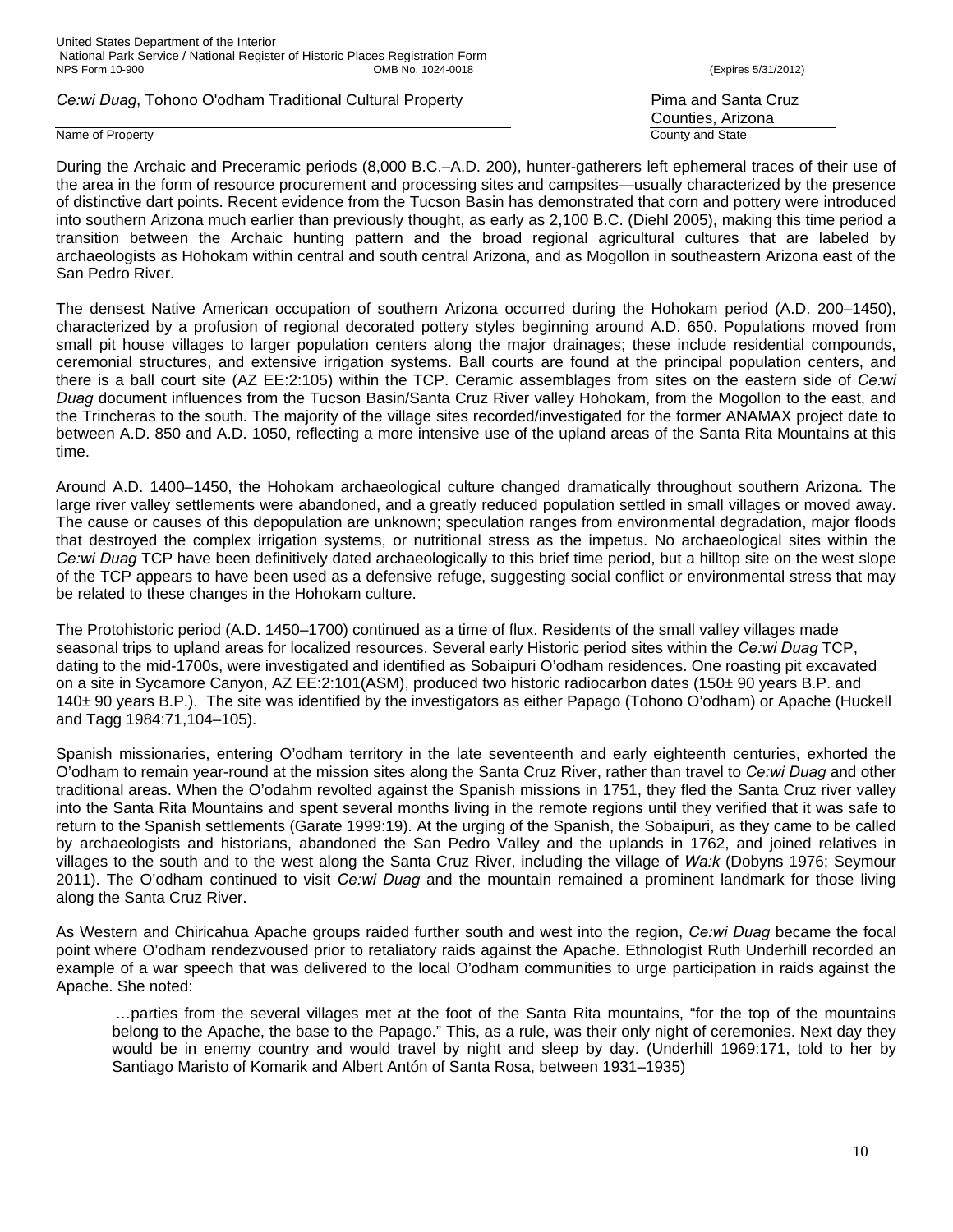#### Name of Property **County and State**

Counties, Arizona

During the Archaic and Preceramic periods (8,000 B.C.–A.D. 200), hunter-gatherers left ephemeral traces of their use of the area in the form of resource procurement and processing sites and campsites—usually characterized by the presence of distinctive dart points. Recent evidence from the Tucson Basin has demonstrated that corn and pottery were introduced into southern Arizona much earlier than previously thought, as early as 2,100 B.C. (Diehl 2005), making this time period a transition between the Archaic hunting pattern and the broad regional agricultural cultures that are labeled by archaeologists as Hohokam within central and south central Arizona, and as Mogollon in southeastern Arizona east of the San Pedro River.

The densest Native American occupation of southern Arizona occurred during the Hohokam period (A.D. 200–1450), characterized by a profusion of regional decorated pottery styles beginning around A.D. 650. Populations moved from small pit house villages to larger population centers along the major drainages; these include residential compounds, ceremonial structures, and extensive irrigation systems. Ball courts are found at the principal population centers, and there is a ball court site (AZ EE:2:105) within the TCP. Ceramic assemblages from sites on the eastern side of *Ce:wi Duag* document influences from the Tucson Basin/Santa Cruz River valley Hohokam, from the Mogollon to the east, and the Trincheras to the south. The majority of the village sites recorded/investigated for the former ANAMAX project date to between A.D. 850 and A.D. 1050, reflecting a more intensive use of the upland areas of the Santa Rita Mountains at this time.

Around A.D. 1400–1450, the Hohokam archaeological culture changed dramatically throughout southern Arizona. The large river valley settlements were abandoned, and a greatly reduced population settled in small villages or moved away. The cause or causes of this depopulation are unknown; speculation ranges from environmental degradation, major floods that destroyed the complex irrigation systems, or nutritional stress as the impetus. No archaeological sites within the *Ce:wi Duag* TCP have been definitively dated archaeologically to this brief time period, but a hilltop site on the west slope of the TCP appears to have been used as a defensive refuge, suggesting social conflict or environmental stress that may be related to these changes in the Hohokam culture.

The Protohistoric period (A.D. 1450–1700) continued as a time of flux. Residents of the small valley villages made seasonal trips to upland areas for localized resources. Several early Historic period sites within the *Ce:wi Duag* TCP, dating to the mid-1700s, were investigated and identified as Sobaipuri O'odham residences. One roasting pit excavated on a site in Sycamore Canyon, AZ EE:2:101(ASM), produced two historic radiocarbon dates (150± 90 years B.P. and 140± 90 years B.P.). The site was identified by the investigators as either Papago (Tohono O'odham) or Apache (Huckell and Tagg 1984:71,104–105).

Spanish missionaries, entering O'odham territory in the late seventeenth and early eighteenth centuries, exhorted the O'odham to remain year-round at the mission sites along the Santa Cruz River, rather than travel to *Ce:wi Duag* and other traditional areas. When the O'odahm revolted against the Spanish missions in 1751, they fled the Santa Cruz river valley into the Santa Rita Mountains and spent several months living in the remote regions until they verified that it was safe to return to the Spanish settlements (Garate 1999:19). At the urging of the Spanish, the Sobaipuri, as they came to be called by archaeologists and historians, abandoned the San Pedro Valley and the uplands in 1762, and joined relatives in villages to the south and to the west along the Santa Cruz River, including the village of *Wa:k* (Dobyns 1976; Seymour 2011). The O'odham continued to visit *Ce:wi Duag* and the mountain remained a prominent landmark for those living along the Santa Cruz River.

As Western and Chiricahua Apache groups raided further south and west into the region, *Ce:wi Duag* became the focal point where O'odham rendezvoused prior to retaliatory raids against the Apache. Ethnologist Ruth Underhill recorded an example of a war speech that was delivered to the local O'odham communities to urge participation in raids against the Apache. She noted:

…parties from the several villages met at the foot of the Santa Rita mountains, "for the top of the mountains belong to the Apache, the base to the Papago." This, as a rule, was their only night of ceremonies. Next day they would be in enemy country and would travel by night and sleep by day. (Underhill 1969:171, told to her by Santiago Maristo of Komarik and Albert Antón of Santa Rosa, between 1931–1935)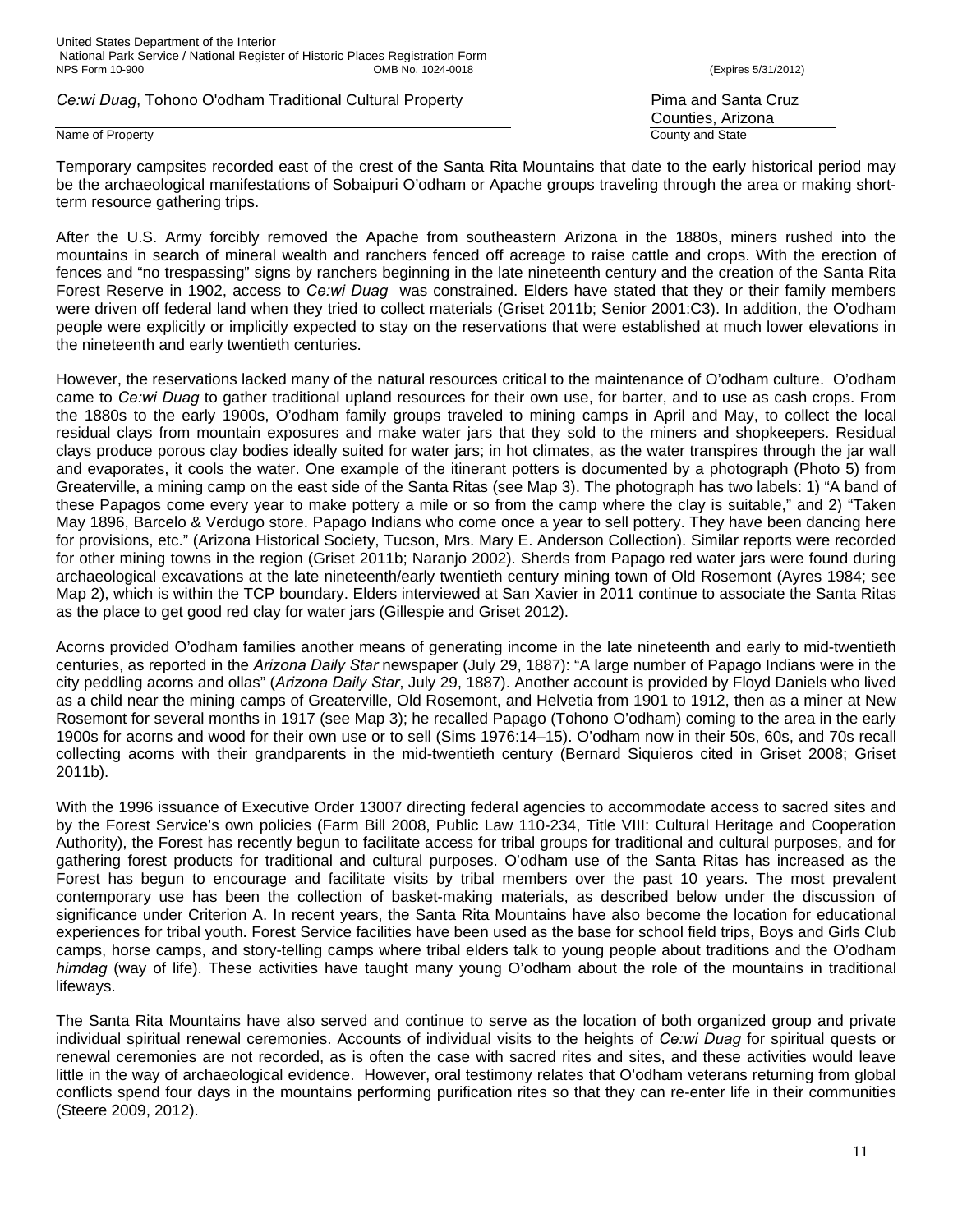### Name of Property **County and State**

Temporary campsites recorded east of the crest of the Santa Rita Mountains that date to the early historical period may be the archaeological manifestations of Sobaipuri O'odham or Apache groups traveling through the area or making shortterm resource gathering trips.

After the U.S. Army forcibly removed the Apache from southeastern Arizona in the 1880s, miners rushed into the mountains in search of mineral wealth and ranchers fenced off acreage to raise cattle and crops. With the erection of fences and "no trespassing" signs by ranchers beginning in the late nineteenth century and the creation of the Santa Rita Forest Reserve in 1902, access to *Ce:wi Duag* was constrained. Elders have stated that they or their family members were driven off federal land when they tried to collect materials (Griset 2011b; Senior 2001:C3). In addition, the O'odham people were explicitly or implicitly expected to stay on the reservations that were established at much lower elevations in the nineteenth and early twentieth centuries.

However, the reservations lacked many of the natural resources critical to the maintenance of O'odham culture. O'odham came to *Ce:wi Duag* to gather traditional upland resources for their own use, for barter, and to use as cash crops. From the 1880s to the early 1900s, O'odham family groups traveled to mining camps in April and May, to collect the local residual clays from mountain exposures and make water jars that they sold to the miners and shopkeepers. Residual clays produce porous clay bodies ideally suited for water jars; in hot climates, as the water transpires through the jar wall and evaporates, it cools the water. One example of the itinerant potters is documented by a photograph (Photo 5) from Greaterville, a mining camp on the east side of the Santa Ritas (see Map 3). The photograph has two labels: 1) "A band of these Papagos come every year to make pottery a mile or so from the camp where the clay is suitable," and 2) "Taken May 1896, Barcelo & Verdugo store. Papago Indians who come once a year to sell pottery. They have been dancing here for provisions, etc." (Arizona Historical Society, Tucson, Mrs. Mary E. Anderson Collection). Similar reports were recorded for other mining towns in the region (Griset 2011b; Naranjo 2002). Sherds from Papago red water jars were found during archaeological excavations at the late nineteenth/early twentieth century mining town of Old Rosemont (Ayres 1984; see Map 2), which is within the TCP boundary. Elders interviewed at San Xavier in 2011 continue to associate the Santa Ritas as the place to get good red clay for water jars (Gillespie and Griset 2012).

Acorns provided O'odham families another means of generating income in the late nineteenth and early to mid-twentieth centuries, as reported in the *Arizona Daily Star* newspaper (July 29, 1887): "A large number of Papago Indians were in the city peddling acorns and ollas" (*Arizona Daily Star*, July 29, 1887). Another account is provided by Floyd Daniels who lived as a child near the mining camps of Greaterville, Old Rosemont, and Helvetia from 1901 to 1912, then as a miner at New Rosemont for several months in 1917 (see Map 3); he recalled Papago (Tohono O'odham) coming to the area in the early 1900s for acorns and wood for their own use or to sell (Sims 1976:14–15). O'odham now in their 50s, 60s, and 70s recall collecting acorns with their grandparents in the mid-twentieth century (Bernard Siquieros cited in Griset 2008; Griset 2011b).

With the 1996 issuance of Executive Order 13007 directing federal agencies to accommodate access to sacred sites and by the Forest Service's own policies (Farm Bill 2008, Public Law 110-234, Title VIII: Cultural Heritage and Cooperation Authority), the Forest has recently begun to facilitate access for tribal groups for traditional and cultural purposes, and for gathering forest products for traditional and cultural purposes. O'odham use of the Santa Ritas has increased as the Forest has begun to encourage and facilitate visits by tribal members over the past 10 years. The most prevalent contemporary use has been the collection of basket-making materials, as described below under the discussion of significance under Criterion A. In recent years, the Santa Rita Mountains have also become the location for educational experiences for tribal youth. Forest Service facilities have been used as the base for school field trips, Boys and Girls Club camps, horse camps, and story-telling camps where tribal elders talk to young people about traditions and the O'odham *himdag* (way of life). These activities have taught many young O'odham about the role of the mountains in traditional lifeways.

The Santa Rita Mountains have also served and continue to serve as the location of both organized group and private individual spiritual renewal ceremonies. Accounts of individual visits to the heights of *Ce:wi Duag* for spiritual quests or renewal ceremonies are not recorded, as is often the case with sacred rites and sites, and these activities would leave little in the way of archaeological evidence. However, oral testimony relates that O'odham veterans returning from global conflicts spend four days in the mountains performing purification rites so that they can re-enter life in their communities (Steere 2009, 2012).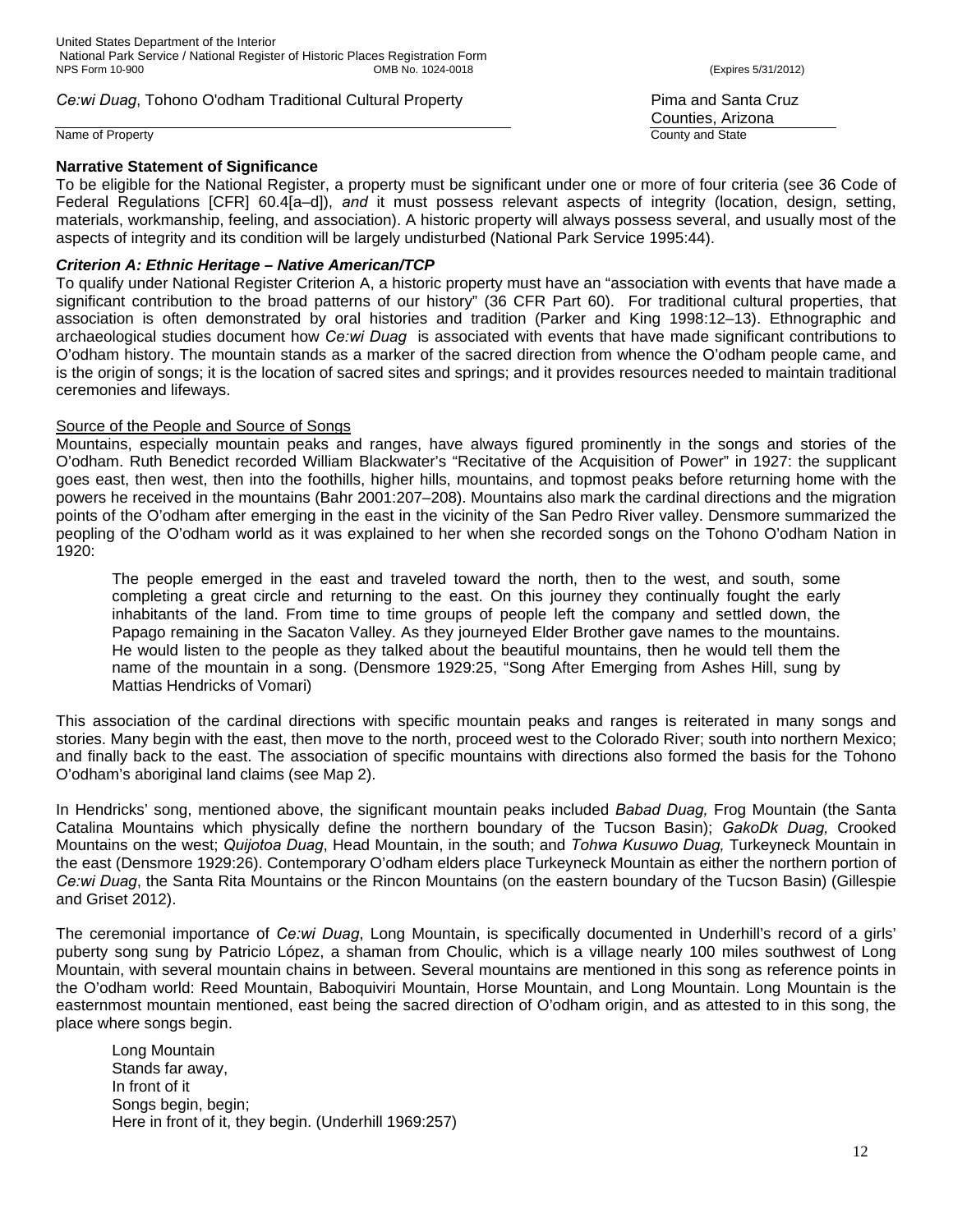Name of Property **County and State** 

# **Narrative Statement of Significance**

Counties, Arizona

To be eligible for the National Register, a property must be significant under one or more of four criteria (see 36 Code of Federal Regulations [CFR] 60.4[a–d]), *and* it must possess relevant aspects of integrity (location, design, setting, materials, workmanship, feeling, and association). A historic property will always possess several, and usually most of the aspects of integrity and its condition will be largely undisturbed (National Park Service 1995:44).

# *Criterion A: Ethnic Heritage – Native American/TCP*

To qualify under National Register Criterion A, a historic property must have an "association with events that have made a significant contribution to the broad patterns of our history" (36 CFR Part 60). For traditional cultural properties, that association is often demonstrated by oral histories and tradition (Parker and King 1998:12–13). Ethnographic and archaeological studies document how *Ce:wi Duag* is associated with events that have made significant contributions to O'odham history. The mountain stands as a marker of the sacred direction from whence the O'odham people came, and is the origin of songs; it is the location of sacred sites and springs; and it provides resources needed to maintain traditional ceremonies and lifeways.

# Source of the People and Source of Songs

Mountains, especially mountain peaks and ranges, have always figured prominently in the songs and stories of the O'odham. Ruth Benedict recorded William Blackwater's "Recitative of the Acquisition of Power" in 1927: the supplicant goes east, then west, then into the foothills, higher hills, mountains, and topmost peaks before returning home with the powers he received in the mountains (Bahr 2001:207–208). Mountains also mark the cardinal directions and the migration points of the O'odham after emerging in the east in the vicinity of the San Pedro River valley. Densmore summarized the peopling of the O'odham world as it was explained to her when she recorded songs on the Tohono O'odham Nation in 1920:

The people emerged in the east and traveled toward the north, then to the west, and south, some completing a great circle and returning to the east. On this journey they continually fought the early inhabitants of the land. From time to time groups of people left the company and settled down, the Papago remaining in the Sacaton Valley. As they journeyed Elder Brother gave names to the mountains. He would listen to the people as they talked about the beautiful mountains, then he would tell them the name of the mountain in a song. (Densmore 1929:25, "Song After Emerging from Ashes Hill, sung by Mattias Hendricks of Vomari)

This association of the cardinal directions with specific mountain peaks and ranges is reiterated in many songs and stories. Many begin with the east, then move to the north, proceed west to the Colorado River; south into northern Mexico; and finally back to the east. The association of specific mountains with directions also formed the basis for the Tohono O'odham's aboriginal land claims (see Map 2).

In Hendricks' song, mentioned above, the significant mountain peaks included *Babad Duag,* Frog Mountain (the Santa Catalina Mountains which physically define the northern boundary of the Tucson Basin); *GakoDk Duag,* Crooked Mountains on the west; *Quijotoa Duag*, Head Mountain, in the south; and *Tohwa Kusuwo Duag,* Turkeyneck Mountain in the east (Densmore 1929:26). Contemporary O'odham elders place Turkeyneck Mountain as either the northern portion of *Ce:wi Duag*, the Santa Rita Mountains or the Rincon Mountains (on the eastern boundary of the Tucson Basin) (Gillespie and Griset 2012).

The ceremonial importance of *Ce:wi Duag*, Long Mountain, is specifically documented in Underhill's record of a girls' puberty song sung by Patricio López, a shaman from Choulic, which is a village nearly 100 miles southwest of Long Mountain, with several mountain chains in between. Several mountains are mentioned in this song as reference points in the O'odham world: Reed Mountain, Baboquiviri Mountain, Horse Mountain, and Long Mountain. Long Mountain is the easternmost mountain mentioned, east being the sacred direction of O'odham origin, and as attested to in this song, the place where songs begin.

 Long Mountain Stands far away, In front of it Songs begin, begin; Here in front of it, they begin. (Underhill 1969:257)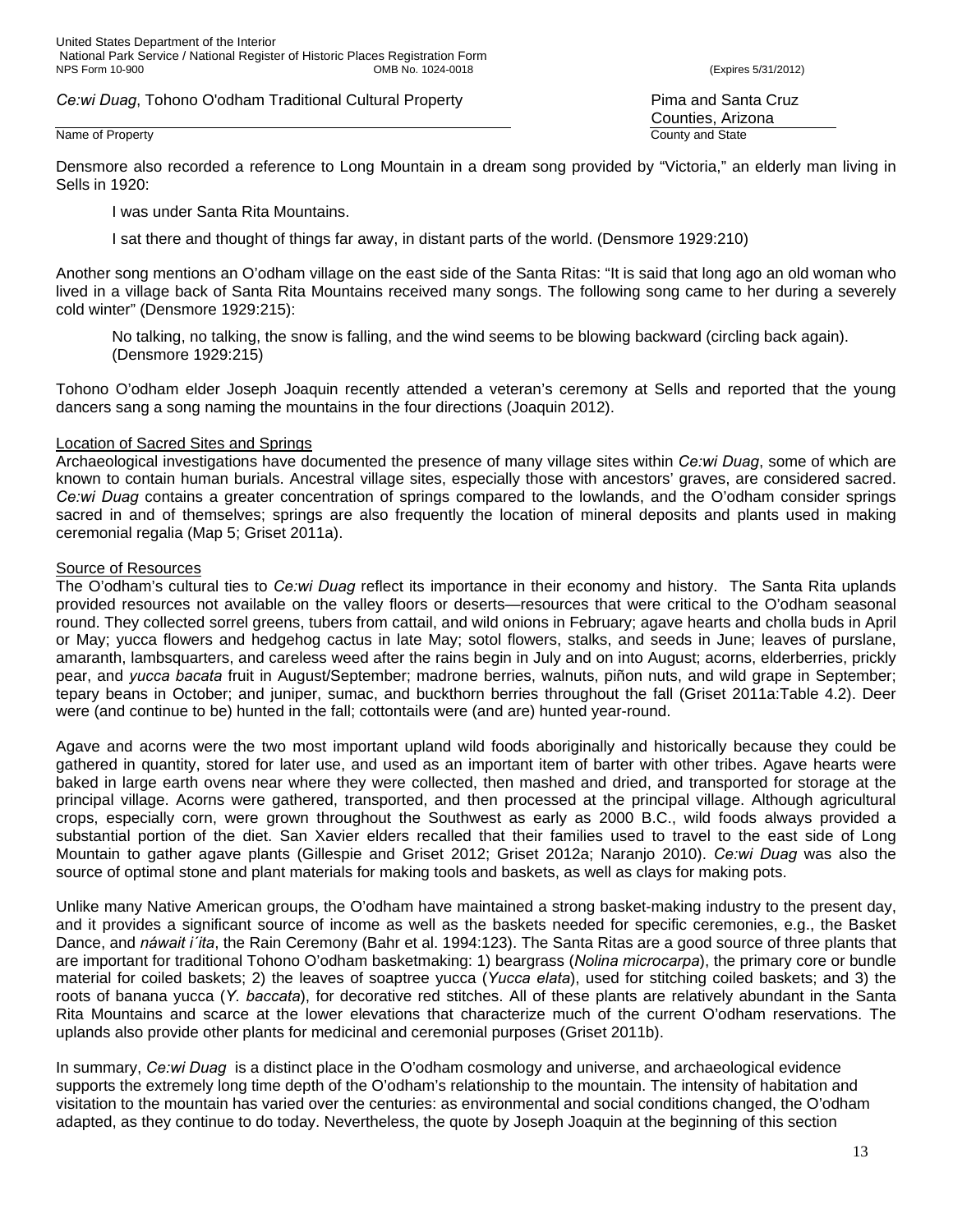Densmore also recorded a reference to Long Mountain in a dream song provided by "Victoria," an elderly man living in Sells in 1920:

I was under Santa Rita Mountains.

I sat there and thought of things far away, in distant parts of the world. (Densmore 1929:210)

Another song mentions an O'odham village on the east side of the Santa Ritas: "It is said that long ago an old woman who lived in a village back of Santa Rita Mountains received many songs. The following song came to her during a severely cold winter" (Densmore 1929:215):

No talking, no talking, the snow is falling, and the wind seems to be blowing backward (circling back again). (Densmore 1929:215)

Tohono O'odham elder Joseph Joaquin recently attended a veteran's ceremony at Sells and reported that the young dancers sang a song naming the mountains in the four directions (Joaquin 2012).

### Location of Sacred Sites and Springs

Archaeological investigations have documented the presence of many village sites within *Ce:wi Duag*, some of which are known to contain human burials. Ancestral village sites, especially those with ancestors' graves, are considered sacred. *Ce:wi Duag* contains a greater concentration of springs compared to the lowlands, and the O'odham consider springs sacred in and of themselves; springs are also frequently the location of mineral deposits and plants used in making ceremonial regalia (Map 5; Griset 2011a).

# Source of Resources

The O'odham's cultural ties to *Ce:wi Duag* reflect its importance in their economy and history. The Santa Rita uplands provided resources not available on the valley floors or deserts—resources that were critical to the O'odham seasonal round. They collected sorrel greens, tubers from cattail, and wild onions in February; agave hearts and cholla buds in April or May; yucca flowers and hedgehog cactus in late May; sotol flowers, stalks, and seeds in June; leaves of purslane, amaranth, lambsquarters, and careless weed after the rains begin in July and on into August; acorns, elderberries, prickly pear, and *yucca bacata* fruit in August/September; madrone berries, walnuts, piñon nuts, and wild grape in September; tepary beans in October; and juniper, sumac, and buckthorn berries throughout the fall (Griset 2011a:Table 4.2). Deer were (and continue to be) hunted in the fall; cottontails were (and are) hunted year-round.

Agave and acorns were the two most important upland wild foods aboriginally and historically because they could be gathered in quantity, stored for later use, and used as an important item of barter with other tribes. Agave hearts were baked in large earth ovens near where they were collected, then mashed and dried, and transported for storage at the principal village. Acorns were gathered, transported, and then processed at the principal village. Although agricultural crops, especially corn, were grown throughout the Southwest as early as 2000 B.C., wild foods always provided a substantial portion of the diet. San Xavier elders recalled that their families used to travel to the east side of Long Mountain to gather agave plants (Gillespie and Griset 2012; Griset 2012a; Naranjo 2010). *Ce:wi Duag* was also the source of optimal stone and plant materials for making tools and baskets, as well as clays for making pots.

Unlike many Native American groups, the O'odham have maintained a strong basket-making industry to the present day, and it provides a significant source of income as well as the baskets needed for specific ceremonies, e.g., the Basket Dance, and *náwait i´ita*, the Rain Ceremony (Bahr et al. 1994:123). The Santa Ritas are a good source of three plants that are important for traditional Tohono O'odham basketmaking: 1) beargrass (*Nolina microcarpa*), the primary core or bundle material for coiled baskets; 2) the leaves of soaptree yucca (*Yucca elata*), used for stitching coiled baskets; and 3) the roots of banana yucca (*Y. baccata*), for decorative red stitches. All of these plants are relatively abundant in the Santa Rita Mountains and scarce at the lower elevations that characterize much of the current O'odham reservations. The uplands also provide other plants for medicinal and ceremonial purposes (Griset 2011b).

In summary, *Ce:wi Duag* is a distinct place in the O'odham cosmology and universe, and archaeological evidence supports the extremely long time depth of the O'odham's relationship to the mountain. The intensity of habitation and visitation to the mountain has varied over the centuries: as environmental and social conditions changed, the O'odham adapted, as they continue to do today. Nevertheless, the quote by Joseph Joaquin at the beginning of this section

Counties, Arizona Name of Property **County and State**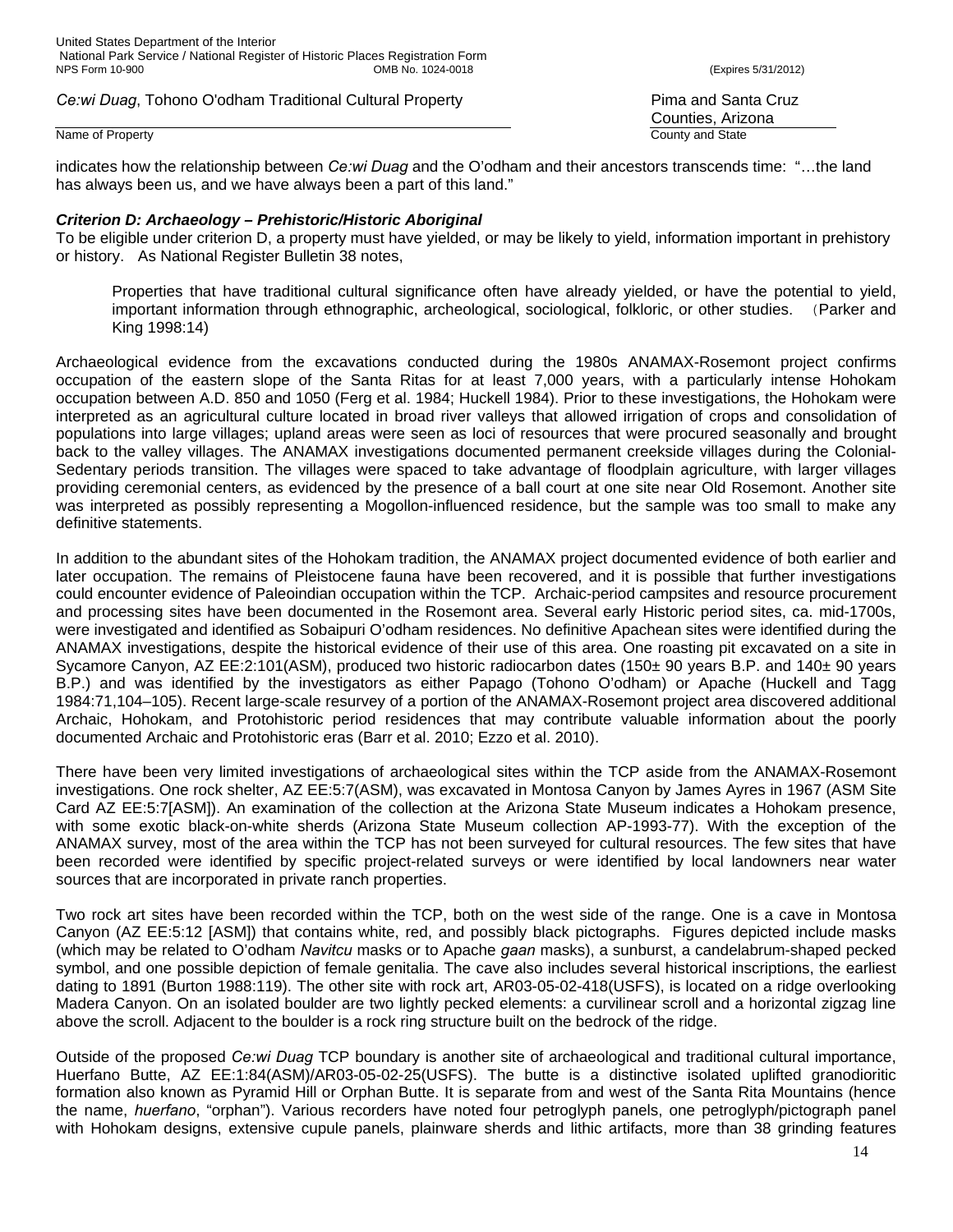### Name of Property **County and State**

indicates how the relationship between *Ce:wi Duag* and the O'odham and their ancestors transcends time: "…the land has always been us, and we have always been a part of this land."

# *Criterion D: Archaeology – Prehistoric/Historic Aboriginal*

To be eligible under criterion D, a property must have yielded, or may be likely to yield, information important in prehistory or history. As National Register Bulletin 38 notes,

Properties that have traditional cultural significance often have already yielded, or have the potential to yield, important information through ethnographic, archeological, sociological, folkloric, or other studies. (Parker and King 1998:14)

Archaeological evidence from the excavations conducted during the 1980s ANAMAX-Rosemont project confirms occupation of the eastern slope of the Santa Ritas for at least 7,000 years, with a particularly intense Hohokam occupation between A.D. 850 and 1050 (Ferg et al. 1984; Huckell 1984). Prior to these investigations, the Hohokam were interpreted as an agricultural culture located in broad river valleys that allowed irrigation of crops and consolidation of populations into large villages; upland areas were seen as loci of resources that were procured seasonally and brought back to the valley villages. The ANAMAX investigations documented permanent creekside villages during the Colonial-Sedentary periods transition. The villages were spaced to take advantage of floodplain agriculture, with larger villages providing ceremonial centers, as evidenced by the presence of a ball court at one site near Old Rosemont. Another site was interpreted as possibly representing a Mogollon-influenced residence, but the sample was too small to make any definitive statements.

In addition to the abundant sites of the Hohokam tradition, the ANAMAX project documented evidence of both earlier and later occupation. The remains of Pleistocene fauna have been recovered, and it is possible that further investigations could encounter evidence of Paleoindian occupation within the TCP. Archaic-period campsites and resource procurement and processing sites have been documented in the Rosemont area. Several early Historic period sites, ca. mid-1700s, were investigated and identified as Sobaipuri O'odham residences. No definitive Apachean sites were identified during the ANAMAX investigations, despite the historical evidence of their use of this area. One roasting pit excavated on a site in Sycamore Canyon, AZ EE:2:101(ASM), produced two historic radiocarbon dates (150± 90 years B.P. and 140± 90 years B.P.) and was identified by the investigators as either Papago (Tohono O'odham) or Apache (Huckell and Tagg 1984:71,104–105). Recent large-scale resurvey of a portion of the ANAMAX-Rosemont project area discovered additional Archaic, Hohokam, and Protohistoric period residences that may contribute valuable information about the poorly documented Archaic and Protohistoric eras (Barr et al. 2010; Ezzo et al. 2010).

There have been very limited investigations of archaeological sites within the TCP aside from the ANAMAX-Rosemont investigations. One rock shelter, AZ EE:5:7(ASM), was excavated in Montosa Canyon by James Ayres in 1967 (ASM Site Card AZ EE:5:7[ASM]). An examination of the collection at the Arizona State Museum indicates a Hohokam presence, with some exotic black-on-white sherds (Arizona State Museum collection AP-1993-77). With the exception of the ANAMAX survey, most of the area within the TCP has not been surveyed for cultural resources. The few sites that have been recorded were identified by specific project-related surveys or were identified by local landowners near water sources that are incorporated in private ranch properties.

Two rock art sites have been recorded within the TCP, both on the west side of the range. One is a cave in Montosa Canyon (AZ EE:5:12 [ASM]) that contains white, red, and possibly black pictographs. Figures depicted include masks (which may be related to O'odham *Navitcu* masks or to Apache *gaan* masks), a sunburst, a candelabrum-shaped pecked symbol, and one possible depiction of female genitalia. The cave also includes several historical inscriptions, the earliest dating to 1891 (Burton 1988:119). The other site with rock art, AR03-05-02-418(USFS), is located on a ridge overlooking Madera Canyon. On an isolated boulder are two lightly pecked elements: a curvilinear scroll and a horizontal zigzag line above the scroll. Adjacent to the boulder is a rock ring structure built on the bedrock of the ridge.

Outside of the proposed *Ce:wi Duag* TCP boundary is another site of archaeological and traditional cultural importance, Huerfano Butte, AZ EE:1:84(ASM)/AR03-05-02-25(USFS). The butte is a distinctive isolated uplifted granodioritic formation also known as Pyramid Hill or Orphan Butte. It is separate from and west of the Santa Rita Mountains (hence the name, *huerfano*, "orphan"). Various recorders have noted four petroglyph panels, one petroglyph/pictograph panel with Hohokam designs, extensive cupule panels, plainware sherds and lithic artifacts, more than 38 grinding features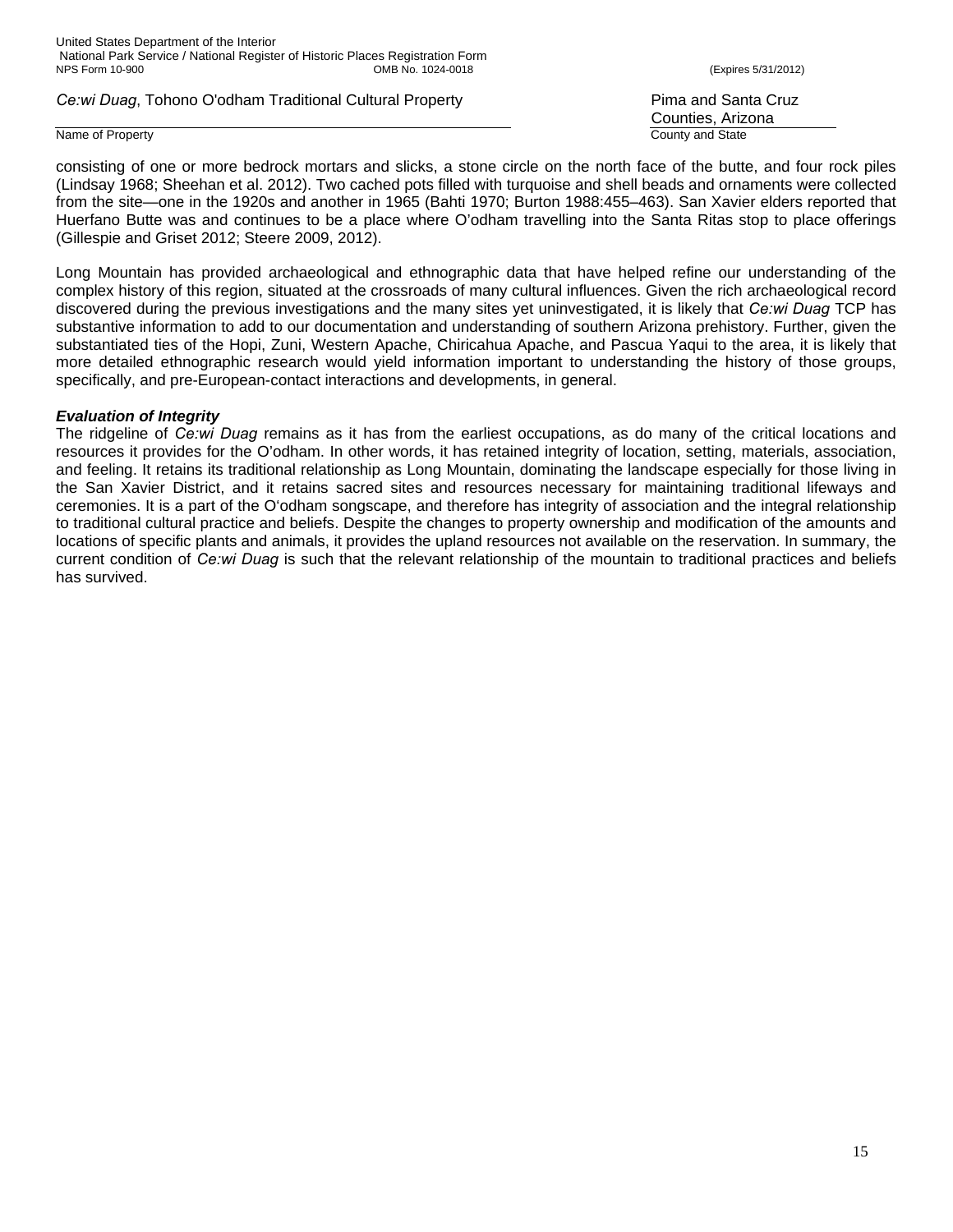### Name of Property **County and State**

Counties, Arizona

consisting of one or more bedrock mortars and slicks, a stone circle on the north face of the butte, and four rock piles (Lindsay 1968; Sheehan et al. 2012). Two cached pots filled with turquoise and shell beads and ornaments were collected from the site—one in the 1920s and another in 1965 (Bahti 1970; Burton 1988:455–463). San Xavier elders reported that Huerfano Butte was and continues to be a place where O'odham travelling into the Santa Ritas stop to place offerings (Gillespie and Griset 2012; Steere 2009, 2012).

Long Mountain has provided archaeological and ethnographic data that have helped refine our understanding of the complex history of this region, situated at the crossroads of many cultural influences. Given the rich archaeological record discovered during the previous investigations and the many sites yet uninvestigated, it is likely that *Ce:wi Duag* TCP has substantive information to add to our documentation and understanding of southern Arizona prehistory. Further, given the substantiated ties of the Hopi, Zuni, Western Apache, Chiricahua Apache, and Pascua Yaqui to the area, it is likely that more detailed ethnographic research would yield information important to understanding the history of those groups, specifically, and pre-European-contact interactions and developments, in general.

# *Evaluation of Integrity*

The ridgeline of *Ce:wi Duag* remains as it has from the earliest occupations, as do many of the critical locations and resources it provides for the O'odham. In other words, it has retained integrity of location, setting, materials, association, and feeling. It retains its traditional relationship as Long Mountain, dominating the landscape especially for those living in the San Xavier District, and it retains sacred sites and resources necessary for maintaining traditional lifeways and ceremonies. It is a part of the O'odham songscape, and therefore has integrity of association and the integral relationship to traditional cultural practice and beliefs. Despite the changes to property ownership and modification of the amounts and locations of specific plants and animals, it provides the upland resources not available on the reservation. In summary, the current condition of *Ce:wi Duag* is such that the relevant relationship of the mountain to traditional practices and beliefs has survived.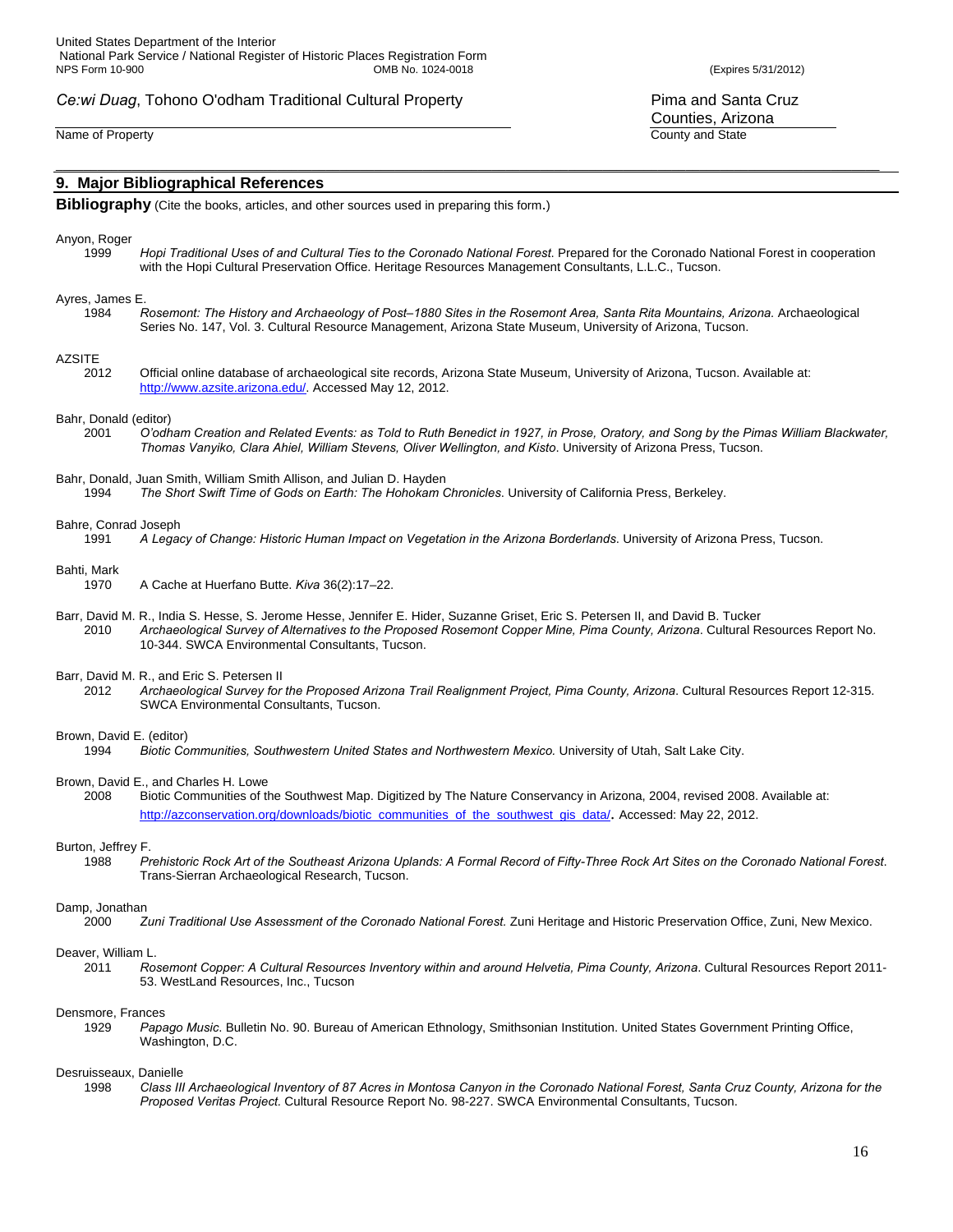**9. Major Bibliographical References**

**Bibliography** (Cite the books, articles, and other sources used in preparing this form.)

#### Anyon, Roger

1999 *Hopi Traditional Uses of and Cultural Ties to the Coronado National Forest*. Prepared for the Coronado National Forest in cooperation with the Hopi Cultural Preservation Office. Heritage Resources Management Consultants, L.L.C., Tucson.

#### Ayres, James E.

1984 *Rosemont: The History and Archaeology of Post–1880 Sites in the Rosemont Area, Santa Rita Mountains, Arizona.* Archaeological Series No. 147, Vol. 3. Cultural Resource Management, Arizona State Museum, University of Arizona, Tucson.

\_\_\_\_\_\_\_\_\_\_\_\_\_\_\_\_\_\_\_\_\_\_\_\_\_\_\_\_\_\_\_\_\_\_\_\_\_\_\_\_\_\_\_\_\_\_\_\_\_\_\_\_\_\_\_\_\_\_\_\_\_\_\_\_\_\_\_\_\_\_\_\_\_\_\_\_\_\_\_\_\_\_\_\_\_\_\_\_\_\_\_\_\_\_\_\_\_\_\_\_\_\_\_\_\_\_\_\_\_\_\_\_\_\_\_\_\_\_\_

#### **AZSITE**

2012 Official online database of archaeological site records, Arizona State Museum, University of Arizona, Tucson. Available at: http://www.azsite.arizona.edu/. Accessed May 12, 2012.

#### Bahr, Donald (editor)

2001 *O'odham Creation and Related Events: as Told to Ruth Benedict in 1927, in Prose, Oratory, and Song by the Pimas William Blackwater, Thomas Vanyiko, Clara Ahiel, William Stevens, Oliver Wellington, and Kisto*. University of Arizona Press, Tucson.

#### Bahr, Donald, Juan Smith, William Smith Allison, and Julian D. Hayden

1994 *The Short Swift Time of Gods on Earth: The Hohokam Chronicles*. University of California Press, Berkeley.

#### Bahre, Conrad Joseph

1991 *A Legacy of Change: Historic Human Impact on Vegetation in the Arizona Borderlands*. University of Arizona Press, Tucson.

#### Bahti, Mark

- 1970 A Cache at Huerfano Butte. *Kiva* 36(2):17–22.
- Barr, David M. R., India S. Hesse, S. Jerome Hesse, Jennifer E. Hider, Suzanne Griset, Eric S. Petersen II, and David B. Tucker 2010 *Archaeological Survey of Alternatives to the Proposed Rosemont Copper Mine, Pima County, Arizona*. Cultural Resources Report No. 10-344. SWCA Environmental Consultants, Tucson.

# Barr, David M. R., and Eric S. Petersen II<br>2012 Archaeological Survey for

2012 *Archaeological Survey for the Proposed Arizona Trail Realignment Project, Pima County, Arizona*. Cultural Resources Report 12-315. SWCA Environmental Consultants, Tucson.

#### Brown, David E. (editor)

1994 *Biotic Communities, Southwestern United States and Northwestern Mexico.* University of Utah, Salt Lake City.

# Brown, David E., and Charles H. Lowe

2008 Biotic Communities of the Southwest Map. Digitized by The Nature Conservancy in Arizona, 2004, revised 2008. Available at: http://azconservation.org/downloads/biotic\_communities\_of\_the\_southwest\_gis\_data/. Accessed: May 22, 2012.

# Burton, Jeffrey F.<br>1988 Pr

1988 *Prehistoric Rock Art of the Southeast Arizona Uplands: A Formal Record of Fifty-Three Rock Art Sites on the Coronado National Forest*. Trans-Sierran Archaeological Research, Tucson.

#### Damp, Jonathan

2000 *Zuni Traditional Use Assessment of the Coronado National Forest.* Zuni Heritage and Historic Preservation Office, Zuni, New Mexico.

#### Deaver, William L.

2011 *Rosemont Copper: A Cultural Resources Inventory within and around Helvetia, Pima County, Arizona*. Cultural Resources Report 2011- 53. WestLand Resources, Inc., Tucson

# Densmore, Frances<br>1929 Papa

Papago Music. Bulletin No. 90. Bureau of American Ethnology, Smithsonian Institution. United States Government Printing Office, Washington, D.C.

#### Desruisseaux, Danielle

1998 *Class III Archaeological Inventory of 87 Acres in Montosa Canyon in the Coronado National Forest, Santa Cruz County, Arizona for the Proposed Veritas Project.* Cultural Resource Report No. 98-227. SWCA Environmental Consultants, Tucson.

Counties, Arizona Name of Property County and State County and State County and State County and State County and State County and State County and State County and State County and State County and State County and State County and State C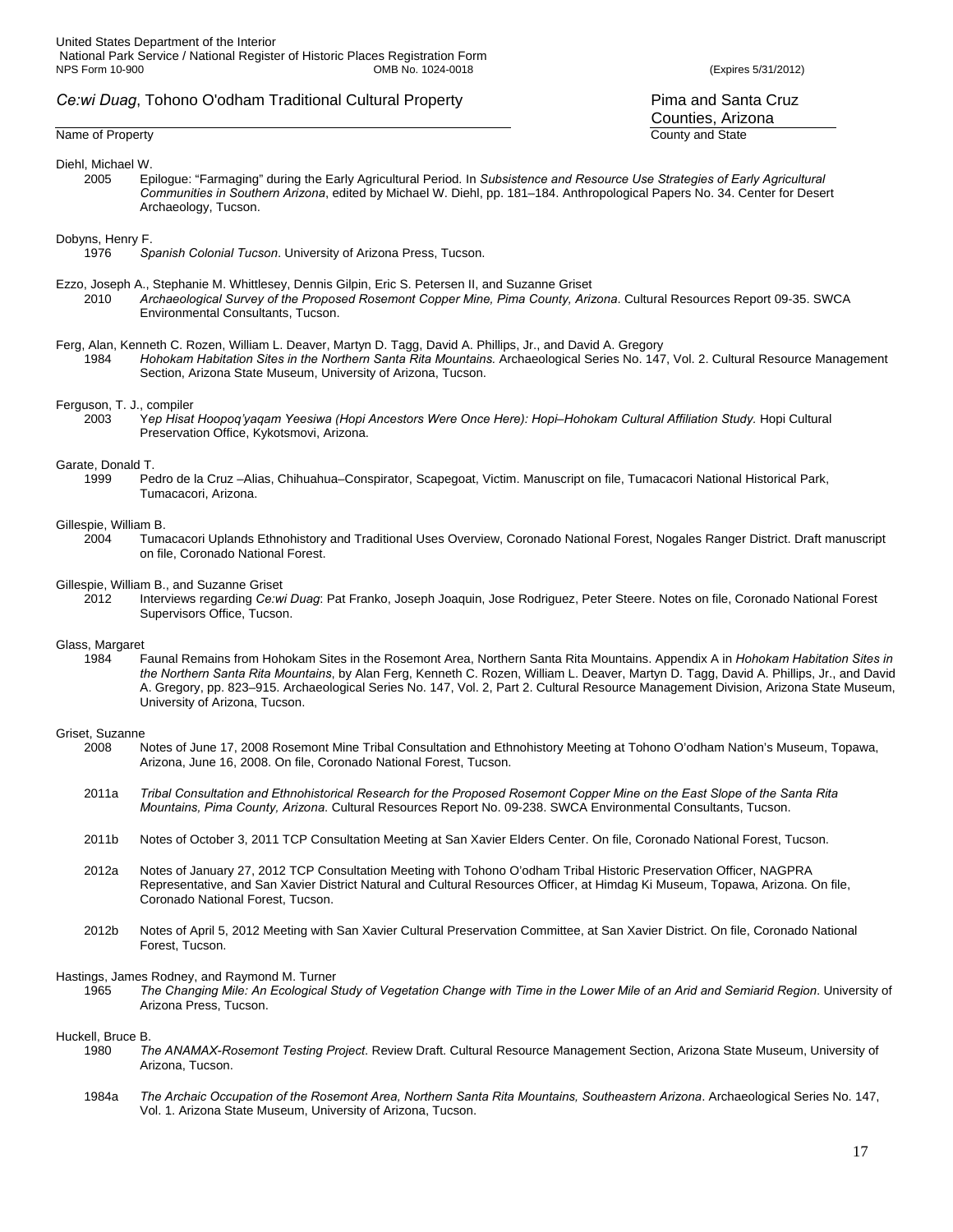#### Name of Property County and State County and State County and State County and State County and State County and State County and State County and State County and State County and State County and State County and State C

#### Diehl, Michael W.

2005 Epilogue: "Farmaging" during the Early Agricultural Period*.* In *Subsistence and Resource Use Strategies of Early Agricultural Communities in Southern Arizona*, edited by Michael W. Diehl, pp. 181–184. Anthropological Papers No. 34. Center for Desert Archaeology, Tucson.

#### Dobyns, Henry F.

- 1976 *Spanish Colonial Tucson*. University of Arizona Press, Tucson.
- Ezzo, Joseph A., Stephanie M. Whittlesey, Dennis Gilpin, Eric S. Petersen II, and Suzanne Griset 2010 *Archaeological Survey of the Proposed Rosemont Copper Mine, Pima County, Arizona*. Cultural Resources Report 09-35. SWCA
	- Environmental Consultants, Tucson.
- Ferg, Alan, Kenneth C. Rozen, William L. Deaver, Martyn D. Tagg, David A. Phillips, Jr., and David A. Gregory
	- 1984 *Hohokam Habitation Sites in the Northern Santa Rita Mountains.* Archaeological Series No. 147, Vol. 2. Cultural Resource Management Section, Arizona State Museum, University of Arizona, Tucson.

#### Ferguson, T. J., compiler

2003 Y*ep Hisat Hoopoq'yaqam Yeesiwa (Hopi Ancestors Were Once Here): Hopi–Hohokam Cultural Affiliation Study.* Hopi Cultural Preservation Office, Kykotsmovi, Arizona.

# Garate, Donald T.<br>1999 Pe

Pedro de la Cruz -Alias, Chihuahua-Conspirator, Scapegoat, Victim. Manuscript on file, Tumacacori National Historical Park, Tumacacori, Arizona.

#### Gillespie, William B.

2004 Tumacacori Uplands Ethnohistory and Traditional Uses Overview, Coronado National Forest, Nogales Ranger District. Draft manuscript on file, Coronado National Forest.

# Gillespie, William B., and Suzanne Griset<br>2012 Interviews regarding Ce:wi

2012 Interviews regarding *Ce:wi Duag*: Pat Franko, Joseph Joaquin, Jose Rodriguez, Peter Steere. Notes on file, Coronado National Forest Supervisors Office, Tucson.

#### Glass, Margaret

1984 Faunal Remains from Hohokam Sites in the Rosemont Area, Northern Santa Rita Mountains. Appendix A in *Hohokam Habitation Sites in the Northern Santa Rita Mountains*, by Alan Ferg, Kenneth C. Rozen, William L. Deaver, Martyn D. Tagg, David A. Phillips, Jr., and David A. Gregory, pp. 823–915. Archaeological Series No. 147, Vol. 2, Part 2. Cultural Resource Management Division, Arizona State Museum, University of Arizona, Tucson.

#### Griset, Suzanne

- 2008 Notes of June 17, 2008 Rosemont Mine Tribal Consultation and Ethnohistory Meeting at Tohono O'odham Nation's Museum, Topawa, Arizona, June 16, 2008. On file, Coronado National Forest, Tucson.
- 2011a *Tribal Consultation and Ethnohistorical Research for the Proposed Rosemont Copper Mine on the East Slope of the Santa Rita Mountains, Pima County, Arizona*. Cultural Resources Report No. 09-238. SWCA Environmental Consultants, Tucson.
- 2011b Notes of October 3, 2011 TCP Consultation Meeting at San Xavier Elders Center. On file, Coronado National Forest, Tucson.
- 2012a Notes of January 27, 2012 TCP Consultation Meeting with Tohono O'odham Tribal Historic Preservation Officer, NAGPRA Representative, and San Xavier District Natural and Cultural Resources Officer, at Himdag Ki Museum, Topawa, Arizona. On file, Coronado National Forest, Tucson.
- 2012b Notes of April 5, 2012 Meeting with San Xavier Cultural Preservation Committee, at San Xavier District. On file, Coronado National Forest, Tucson.

#### Hastings, James Rodney, and Raymond M. Turner

1965 *The Changing Mile: An Ecological Study of Vegetation Change with Time in the Lower Mile of an Arid and Semiarid Region*. University of Arizona Press, Tucson.

# Huckell, Bruce B.<br>1980 TI

- 1980 *The ANAMAX-Rosemont Testing Project*. Review Draft. Cultural Resource Management Section, Arizona State Museum, University of Arizona, Tucson.
- 1984a *The Archaic Occupation of the Rosemont Area, Northern Santa Rita Mountains, Southeastern Arizona*. Archaeological Series No. 147, Vol. 1. Arizona State Museum, University of Arizona, Tucson.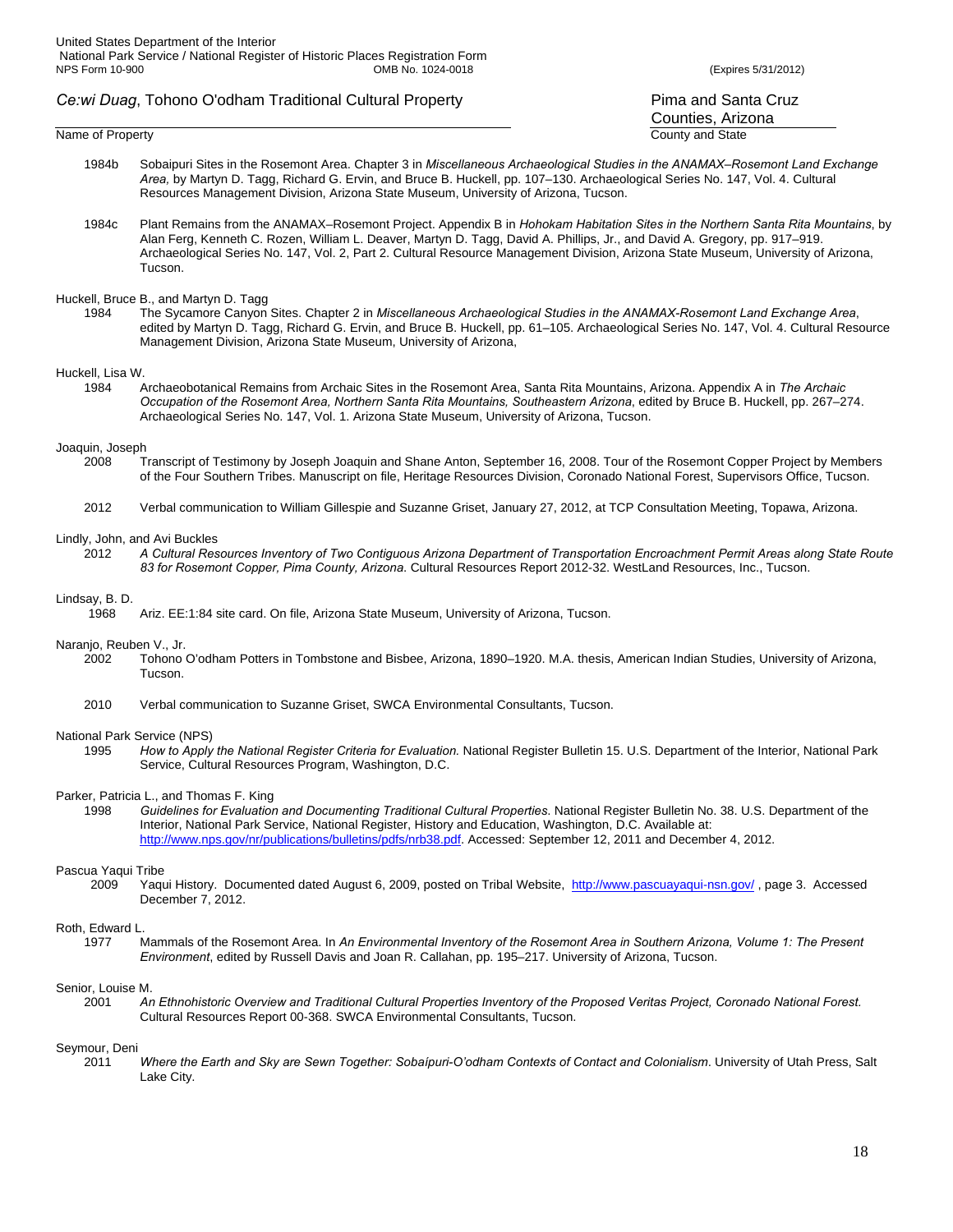- Name of Property County and State County and State County and State County and State County and State County and State County and State County and State County and State County and State County and State County and State C 1984b Sobaipuri Sites in the Rosemont Area. Chapter 3 in *Miscellaneous Archaeological Studies in the ANAMAX–Rosemont Land Exchange Area,* by Martyn D. Tagg, Richard G. Ervin, and Bruce B. Huckell, pp. 107–130. Archaeological Series No. 147, Vol. 4. Cultural
	- 1984c Plant Remains from the ANAMAX–Rosemont Project. Appendix B in *Hohokam Habitation Sites in the Northern Santa Rita Mountains*, by Alan Ferg, Kenneth C. Rozen, William L. Deaver, Martyn D. Tagg, David A. Phillips, Jr., and David A. Gregory, pp. 917–919. Archaeological Series No. 147, Vol. 2, Part 2. Cultural Resource Management Division, Arizona State Museum, University of Arizona, Tucson.

Resources Management Division, Arizona State Museum, University of Arizona, Tucson.

# Huckell, Bruce B., and Martyn D. Tagg

1984 The Sycamore Canyon Sites. Chapter 2 in *Miscellaneous Archaeological Studies in the ANAMAX-Rosemont Land Exchange Area*, edited by Martyn D. Tagg, Richard G. Ervin, and Bruce B. Huckell, pp. 61–105. Archaeological Series No. 147, Vol. 4. Cultural Resource Management Division, Arizona State Museum, University of Arizona,

#### Huckell, Lisa W.

1984 Archaeobotanical Remains from Archaic Sites in the Rosemont Area, Santa Rita Mountains, Arizona. Appendix A in *The Archaic Occupation of the Rosemont Area, Northern Santa Rita Mountains, Southeastern Arizona*, edited by Bruce B. Huckell, pp. 267–274. Archaeological Series No. 147, Vol. 1. Arizona State Museum, University of Arizona, Tucson.

#### Joaquin, Joseph

- 2008 Transcript of Testimony by Joseph Joaquin and Shane Anton, September 16, 2008. Tour of the Rosemont Copper Project by Members of the Four Southern Tribes. Manuscript on file, Heritage Resources Division, Coronado National Forest, Supervisors Office, Tucson.
- 2012 Verbal communication to William Gillespie and Suzanne Griset, January 27, 2012, at TCP Consultation Meeting, Topawa, Arizona.

#### Lindly, John, and Avi Buckles

2012 *A Cultural Resources Inventory of Two Contiguous Arizona Department of Transportation Encroachment Permit Areas along State Route 83 for Rosemont Copper, Pima County, Arizona*. Cultural Resources Report 2012-32. WestLand Resources, Inc., Tucson.

#### Lindsay, B. D.

1968 Ariz. EE:1:84 site card. On file, Arizona State Museum, University of Arizona, Tucson.

#### Naranjo, Reuben V., Jr.

- 2002 Tohono O'odham Potters in Tombstone and Bisbee, Arizona, 1890–1920. M.A. thesis, American Indian Studies, University of Arizona, Tucson.
- 2010 Verbal communication to Suzanne Griset, SWCA Environmental Consultants, Tucson.

#### National Park Service (NPS)

1995 *How to Apply the National Register Criteria for Evaluation.* National Register Bulletin 15. U.S. Department of the Interior, National Park Service, Cultural Resources Program, Washington, D.C.

#### Parker, Patricia L., and Thomas F. King

1998 *Guidelines for Evaluation and Documenting Traditional Cultural Properties*. National Register Bulletin No. 38. U.S. Department of the Interior, National Park Service, National Register, History and Education, Washington, D.C. Available at: http://www.nps.gov/nr/publications/bulletins/pdfs/nrb38.pdf. Accessed: September 12, 2011 and December 4, 2012.

#### Pascua Yaqui Tribe

 2009 Yaqui History. Documented dated August 6, 2009, posted on Tribal Website, http://www.pascuayaqui-nsn.gov/ , page 3. Accessed December 7, 2012.

# Roth, Edward L.<br>1977

Mammals of the Rosemont Area. In An Environmental Inventory of the Rosemont Area in Southern Arizona, Volume 1: The Present *Environment*, edited by Russell Davis and Joan R. Callahan, pp. 195–217. University of Arizona, Tucson.

#### Senior, Louise M.

2001 *An Ethnohistoric Overview and Traditional Cultural Properties Inventory of the Proposed Veritas Project, Coronado National Forest.*  Cultural Resources Report 00-368. SWCA Environmental Consultants, Tucson.

# Seymour, Deni<br>2011

Where the Earth and Sky are Sewn Together: Sobaípuri-O'odham Contexts of Contact and Colonialism. University of Utah Press, Salt Lake City.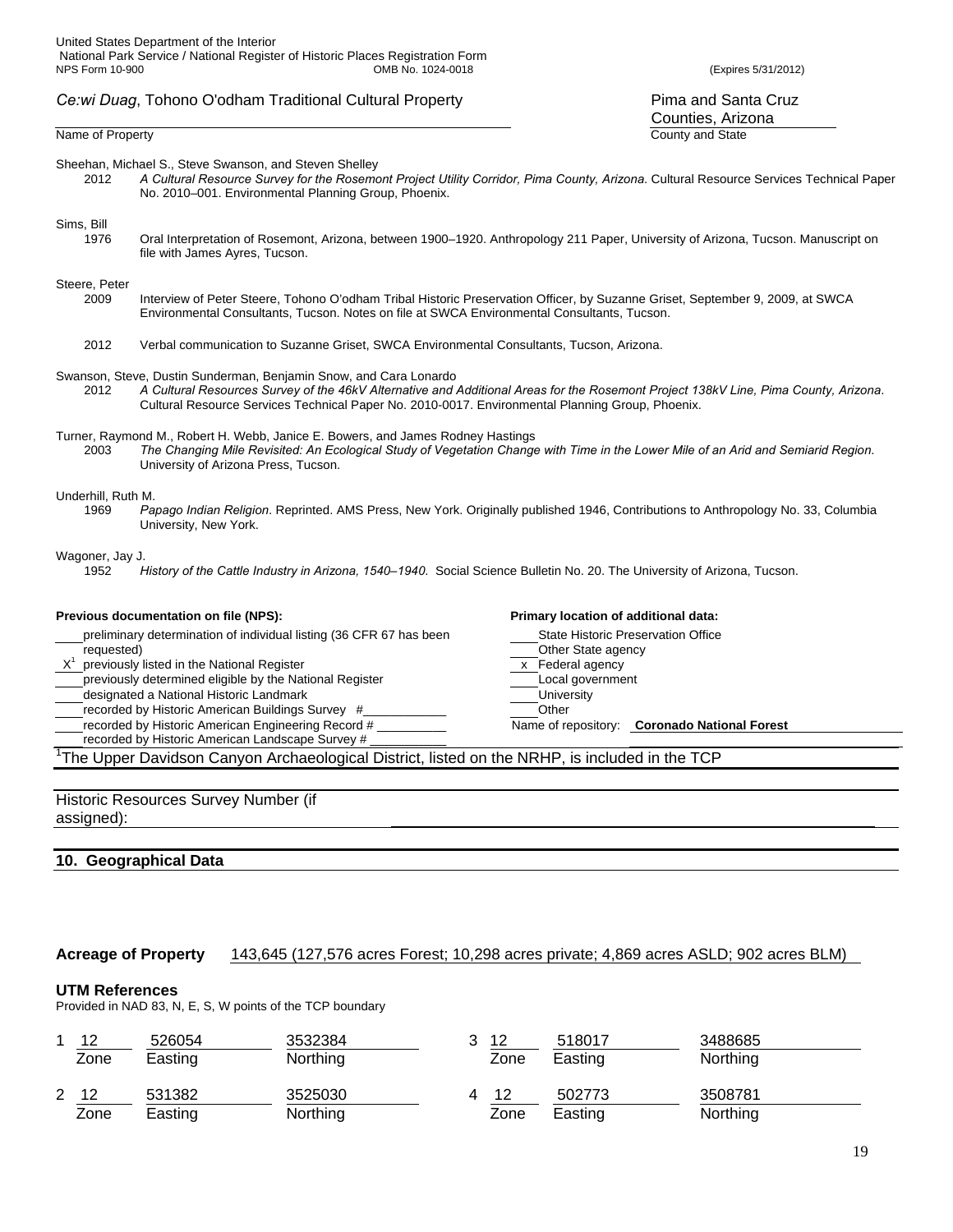Sheehan, Michael S., Steve Swanson, and Steven Shelley

2012 *A Cultural Resource Survey for the Rosemont Project Utility Corridor, Pima County, Arizona*. Cultural Resource Services Technical Paper No. 2010–001. Environmental Planning Group, Phoenix.

# Sims, Bill<br>1976

Oral Interpretation of Rosemont, Arizona, between 1900-1920. Anthropology 211 Paper, University of Arizona, Tucson. Manuscript on file with James Ayres, Tucson.

#### Steere, Peter

- 2009 Interview of Peter Steere, Tohono O'odham Tribal Historic Preservation Officer, by Suzanne Griset, September 9, 2009, at SWCA Environmental Consultants, Tucson. Notes on file at SWCA Environmental Consultants, Tucson.
- 2012 Verbal communication to Suzanne Griset, SWCA Environmental Consultants, Tucson, Arizona.
- Swanson, Steve, Dustin Sunderman, Benjamin Snow, and Cara Lonardo
	- 2012 *A Cultural Resources Survey of the 46kV Alternative and Additional Areas for the Rosemont Project 138kV Line, Pima County, Arizona*. Cultural Resource Services Technical Paper No. 2010-0017. Environmental Planning Group, Phoenix.
- Turner, Raymond M., Robert H. Webb, Janice E. Bowers, and James Rodney Hastings
	- 2003 *The Changing Mile Revisited: An Ecological Study of Vegetation Change with Time in the Lower Mile of an Arid and Semiarid Region*. University of Arizona Press, Tucson.

# Underhill, Ruth M.<br>1969 Pa

1969 *Papago Indian Religion*. Reprinted. AMS Press, New York. Originally published 1946, Contributions to Anthropology No. 33, Columbia University, New York.

#### Wagoner, Jay J.

1952 *History of the Cattle Industry in Arizona, 1540–1940*. Social Science Bulletin No. 20. The University of Arizona, Tucson.

### **Previous documentation on file (NPS): Primary location of additional data: Primary location of additional data:** preliminary determination of individual listing (36 CFR 67 has been State Historic Preservation Office requested)<br>  $X^1$  previously listed in the National Register<br>  $X^1$  previously listed in the National Register previously listed in the National Register x Annual Agency and the National Register x Federal agency

- 
- previously determined eligible by the National Register **Local government**<br>designated a National Historic Landmark **Local government** University designated a National Historic Landmark
- 
- recorded by Historic American Buildings Survey #\_\_\_\_\_\_\_\_\_\_\_\_ Other
- 
- recorded by Historic American Landscape Survey # \_\_\_\_\_\_\_\_\_\_\_

<sup>1</sup>The Upper Davidson Canyon Archaeological District, listed on the NRHP, is included in the TCP

Historic Resources Survey Number (if assigned):

### **10. Geographical Data**

#### **Acreage of Property** 143,645 (127,576 acres Forest; 10,298 acres private; 4,869 acres ASLD; 902 acres BLM)

#### **UTM References**

Provided in NAD 83, N, E, S, W points of the TCP boundary

|   | 12<br>Zone | 526054<br>Easting | 3532384<br>Northing | 12<br>Zone | 518017<br>Easting | 3488685<br><b>Northing</b> |
|---|------------|-------------------|---------------------|------------|-------------------|----------------------------|
| 2 | 12<br>Zone | 531382<br>Easting | 3525030<br>Northing | 12<br>Zone | 502773<br>Easting | 3508781<br>Northing        |

Counties, Arizona Name of Property County and State County and State County and State County and State County and State County and State County and State County and State County and State County and State County and State County and State C

Name of repository: **Coronado National Forest**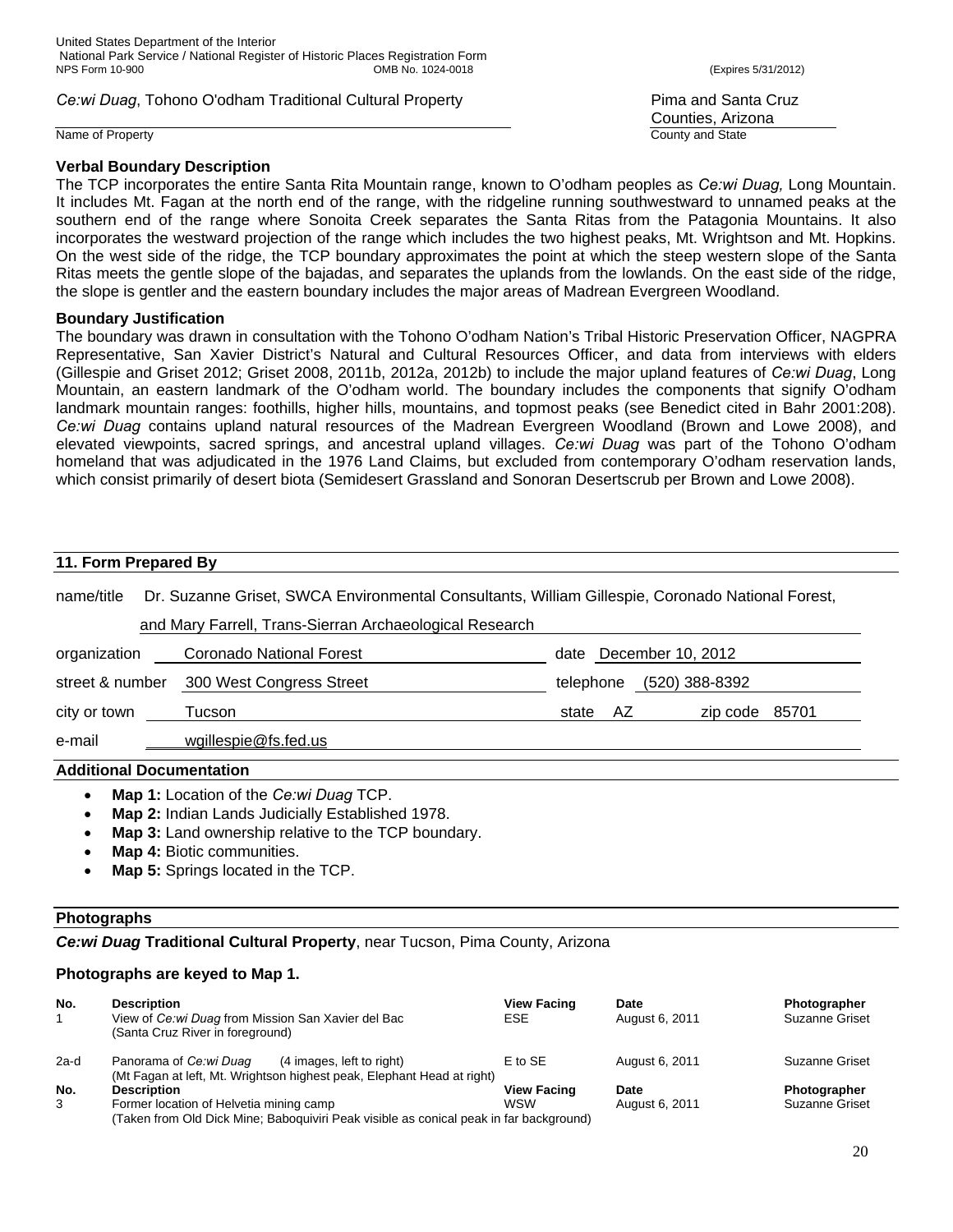Name of Property **County and State** 

# **Verbal Boundary Description**

Counties, Arizona

The TCP incorporates the entire Santa Rita Mountain range, known to O'odham peoples as *Ce:wi Duag,* Long Mountain. It includes Mt. Fagan at the north end of the range, with the ridgeline running southwestward to unnamed peaks at the southern end of the range where Sonoita Creek separates the Santa Ritas from the Patagonia Mountains. It also incorporates the westward projection of the range which includes the two highest peaks, Mt. Wrightson and Mt. Hopkins. On the west side of the ridge, the TCP boundary approximates the point at which the steep western slope of the Santa Ritas meets the gentle slope of the bajadas, and separates the uplands from the lowlands. On the east side of the ridge, the slope is gentler and the eastern boundary includes the major areas of Madrean Evergreen Woodland.

# **Boundary Justification**

The boundary was drawn in consultation with the Tohono O'odham Nation's Tribal Historic Preservation Officer, NAGPRA Representative, San Xavier District's Natural and Cultural Resources Officer, and data from interviews with elders (Gillespie and Griset 2012; Griset 2008, 2011b, 2012a, 2012b) to include the major upland features of *Ce:wi Duag*, Long Mountain, an eastern landmark of the O'odham world. The boundary includes the components that signify O'odham landmark mountain ranges: foothills, higher hills, mountains, and topmost peaks (see Benedict cited in Bahr 2001:208). *Ce:wi Duag* contains upland natural resources of the Madrean Evergreen Woodland (Brown and Lowe 2008), and elevated viewpoints, sacred springs, and ancestral upland villages. *Ce:wi Duag* was part of the Tohono O'odham homeland that was adjudicated in the 1976 Land Claims, but excluded from contemporary O'odham reservation lands, which consist primarily of desert biota (Semidesert Grassland and Sonoran Desertscrub per Brown and Lowe 2008).

# **11. Form Prepared By** name/title Dr. Suzanne Griset, SWCA Environmental Consultants, William Gillespie, Coronado National Forest, and Mary Farrell, Trans-Sierran Archaeological Research organization Coronado National Forest date December 10, 2012 street & number 300 West Congress Street the telephone (520) 388-8392 city or town Tucson **The Community Community Community** or town state AZ zip code 85701 e-mail wgillespie@fs.fed.us **Additional Documentation**

- **Map 1:** Location of the *Ce:wi Duag* TCP.
- **Map 2:** Indian Lands Judicially Established 1978.
- 
- **Map 3:** Land ownership relative to the TCP boundary.
- **Map 4:** Biotic communities.
- **Map 5:** Springs located in the TCP.

# **Photographs**

*Ce:wi Duag* **Traditional Cultural Property**, near Tucson, Pima County, Arizona

# **Photographs are keyed to Map 1.**

| No.    | <b>Description</b><br>View of Ce: wi Duag from Mission San Xavier del Bac<br>(Santa Cruz River in foreground) | <b>View Facing</b><br><b>ESE</b> | <b>Date</b><br>August 6, 2011 | Photographer<br><b>Suzanne Griset</b> |
|--------|---------------------------------------------------------------------------------------------------------------|----------------------------------|-------------------------------|---------------------------------------|
| $2a-d$ | Panorama of Ce:wi Duag<br>(4 images, left to right)                                                           | E to SE                          | August 6, 2011                | Suzanne Griset                        |
|        | (Mt Fagan at left, Mt. Wrightson highest peak, Elephant Head at right)                                        |                                  |                               |                                       |
| No.    | <b>Description</b>                                                                                            | <b>View Facing</b>               | <b>Date</b>                   | Photographer                          |
| 3      | Former location of Helvetia mining camp                                                                       | <b>WSW</b>                       | August 6, 2011                | <b>Suzanne Griset</b>                 |
|        | (Taken from Old Dick Mine; Baboquiviri Peak visible as conical peak in far background)                        |                                  |                               |                                       |